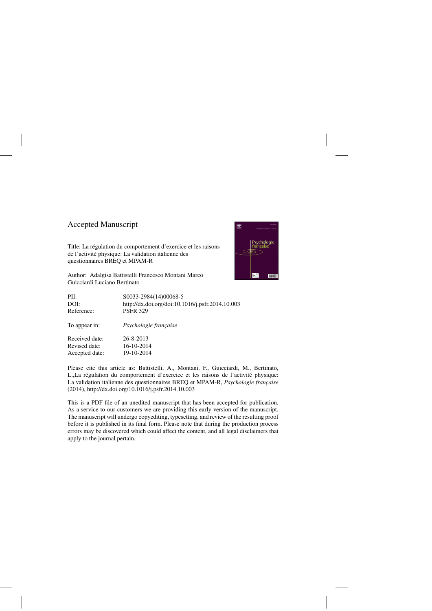# Accepted Manuscript

Title: La régulation du comportement d'exercice et les raisons de l'activite physique: La validation italienne des ´ questionnaires BREQ et MPAM-R



Author: Adalgisa Battistelli Francesco Montani Marco Guicciardi Luciano Bertinato

| PII:           | S0033-2984(14)00068-5                            |
|----------------|--------------------------------------------------|
| DOI:           | http://dx.doi.org/doi:10.1016/j.psfr.2014.10.003 |
| Reference:     | <b>PSFR 329</b>                                  |
| To appear in:  | Psychologie française                            |
| Received date: | 26-8-2013                                        |
| Revised date:  | 16-10-2014                                       |
| Accepted date: | 19-10-2014                                       |

Please cite this article as: Battistelli, A., Montani, F., Guicciardi, M., Bertinato, L.,La régulation du comportement d'exercice et les raisons de l'activité physique: La validation italienne des questionnaires BREQ et MPAM-R, *Psychologie française* (2014),<http://dx.doi.org/10.1016/j.psfr.2014.10.003>

This is a PDF file of an unedited manuscript that has been accepted for publication. As a service to our customers we are providing this early version of the manuscript. The manuscript will undergo copyediting, typesetting, and review of the resulting proof before it is published in its final form. Please note that during the production process errors may be discovered which could affect the content, and all legal disclaimers that apply to the journal pertain.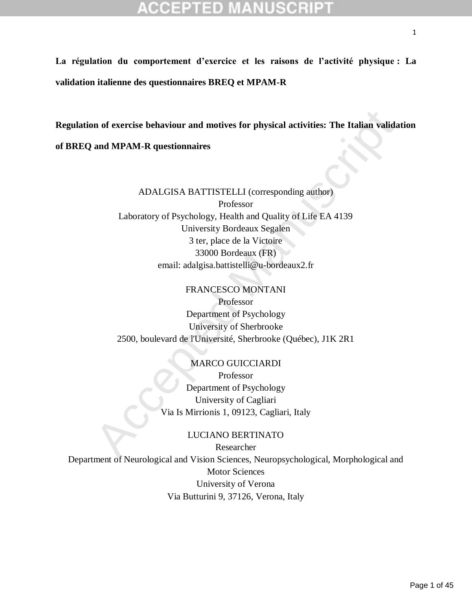**La régulation du comportement d'exercice et les raisons de l'activité physique : La validation italienne des questionnaires BREQ et MPAM-R** 

**Regulation of exercise behaviour and motives for physical activities: The Italian validation** 

**of BREQ and MPAM-R questionnaires**

n of exercise behaviour and motives for physical activities: The Italian valida<br>
and MPAM-R questionnaires<br>
ADALGISA BATTISTELLI (corresponding author)<br>
Professor<br>
Laboratory of Psychology, Health and Quality of Life EA 41 ADALGISA BATTISTELLI (corresponding author) Professor Laboratory of Psychology, Health and Quality of Life EA 4139 University Bordeaux Segalen 3 ter, place de la Victoire 33000 Bordeaux (FR) email: adalgisa.battistelli@u-bordeaux2.fr

FRANCESCO MONTANI Professor Department of Psychology University of Sherbrooke 2500, boulevard de l'Université, Sherbrooke (Québec), J1K 2R1

> MARCO GUICCIARDI Professor Department of Psychology University of Cagliari Via Is Mirrionis 1, 09123, Cagliari, Italy

LUCIANO BERTINATO Researcher Department of Neurological and Vision Sciences, Neuropsychological, Morphological and Motor Sciences University of Verona Via Butturini 9, 37126, Verona, Italy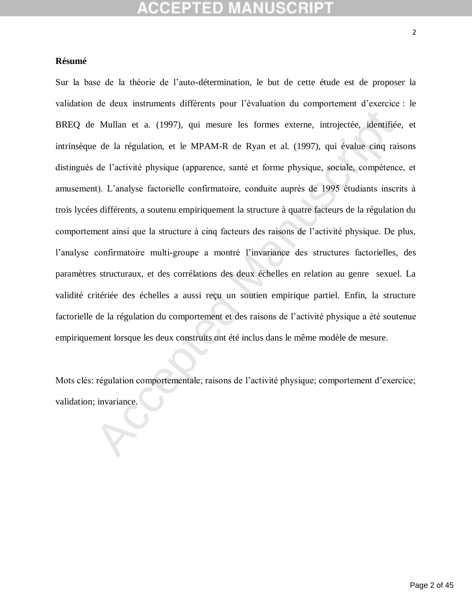## **Résumé**

Mullan et a. (1997), qui mesure les formes externe, introjectée, identifiée<br>
de la régulation, et le MPAM-R de Ryan et al. (1997), qui évalue cinq rai<br>
de l'activité physique (apparence, santé et forme physique, sociale, c Sur la base de la théorie de l'auto-détermination, le but de cette étude est de proposer la validation de deux instruments différents pour l'évaluation du comportement d'exercice : le BREQ de Mullan et a. (1997), qui mesure les formes externe, introjectée, identifiée, et intrinsèque de la régulation, et le MPAM-R de Ryan et al. (1997), qui évalue cinq raisons distingués de l'activité physique (apparence, santé et forme physique, sociale, compétence, et amusement). L'analyse factorielle confirmatoire, conduite auprès de 1995 étudiants inscrits à trois lycées différents, a soutenu empiriquement la structure à quatre facteurs de la régulation du comportement ainsi que la structure à cinq facteurs des raisons de l'activité physique. De plus, l'analyse confirmatoire multi-groupe a montré l'invariance des structures factorielles, des paramètres structuraux, et des corrélations des deux échelles en relation au genre sexuel. La validité critériée des échelles a aussi reçu un soutien empirique partiel. Enfin, la structure factorielle de la régulation du comportement et des raisons de l'activité physique a été soutenue empiriquement lorsque les deux construits ont été inclus dans le même modèle de mesure.

Mots clés: régulation comportementale; raisons de l'activité physique; comportement d'exercice; validation; invariance.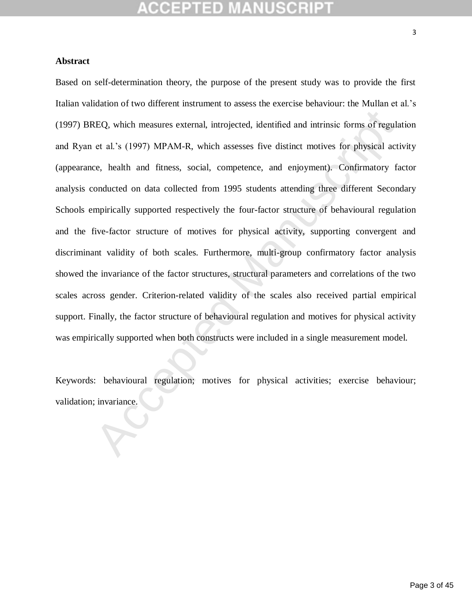## **Abstract**

REQ, which measures external, introjected, identified and intrinsic forms of regular et al.'s (1997) MPAM-R, which assesses five distinct motives for physical act<br>ce, health and fitness, social, competence, and enjoyment). Based on self-determination theory, the purpose of the present study was to provide the first Italian validation of two different instrument to assess the exercise behaviour: the Mullan et al.'s (1997) BREQ, which measures external, introjected, identified and intrinsic forms of regulation and Ryan et al.'s (1997) MPAM-R, which assesses five distinct motives for physical activity (appearance, health and fitness, social, competence, and enjoyment). Confirmatory factor analysis conducted on data collected from 1995 students attending three different Secondary Schools empirically supported respectively the four-factor structure of behavioural regulation and the five-factor structure of motives for physical activity, supporting convergent and discriminant validity of both scales. Furthermore, multi-group confirmatory factor analysis showed the invariance of the factor structures, structural parameters and correlations of the two scales across gender. Criterion-related validity of the scales also received partial empirical support. Finally, the factor structure of behavioural regulation and motives for physical activity was empirically supported when both constructs were included in a single measurement model.

Keywords: behavioural regulation; motives for physical activities; exercise behaviour; validation; invariance.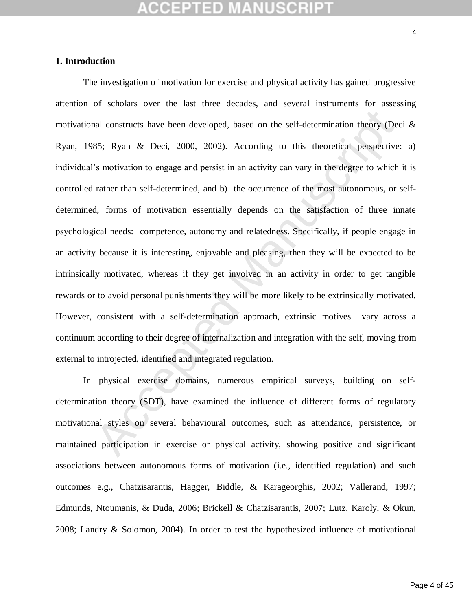# **CCEPTED MANUSCR**

## **1. Introduction**

nal constructs have been developed, based on the self-determination theory (Decosts, Ryan & Deci, 2000, 2002). According to this theoretical perspective's motivation to engage and persist in an activity can vary in the deg The investigation of motivation for exercise and physical activity has gained progressive attention of scholars over the last three decades, and several instruments for assessing motivational constructs have been developed, based on the self-determination theory (Deci & Ryan, 1985; Ryan & Deci, 2000, 2002). According to this theoretical perspective: a) individual's motivation to engage and persist in an activity can vary in the degree to which it is controlled rather than self-determined, and b) the occurrence of the most autonomous, or selfdetermined, forms of motivation essentially depends on the satisfaction of three innate psychological needs: competence, autonomy and relatedness. Specifically, if people engage in an activity because it is interesting, enjoyable and pleasing, then they will be expected to be intrinsically motivated, whereas if they get involved in an activity in order to get tangible rewards or to avoid personal punishments they will be more likely to be extrinsically motivated. However, consistent with a self-determination approach, extrinsic motives vary across a continuum according to their degree of internalization and integration with the self, moving from external to introjected, identified and integrated regulation.

In physical exercise domains, numerous empirical surveys, building on selfdetermination theory (SDT), have examined the influence of different forms of regulatory motivational styles on several behavioural outcomes, such as attendance, persistence, or maintained participation in exercise or physical activity, showing positive and significant associations between autonomous forms of motivation (i.e., identified regulation) and such outcomes e.g., Chatzisarantis, Hagger, Biddle, & Karageorghis, 2002; Vallerand, 1997; Edmunds, Ntoumanis, & Duda, 2006; Brickell & Chatzisarantis, 2007; Lutz, Karoly, & Okun, 2008; Landry & Solomon, 2004). In order to test the hypothesized influence of motivational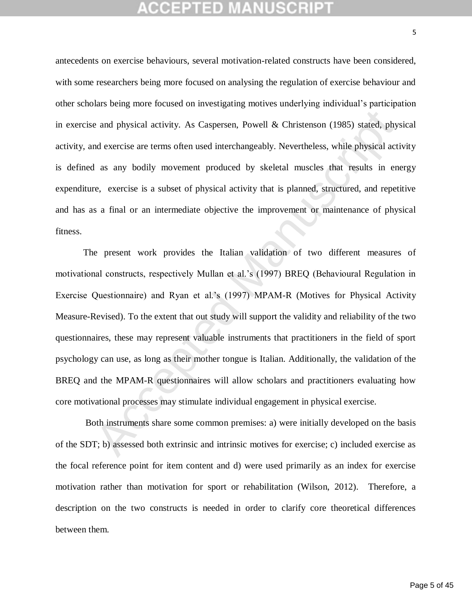# GEPTED

antecedents on exercise behaviours, several motivation-related constructs have been considered, with some researchers being more focused on analysing the regulation of exercise behaviour and other scholars being more focused on investigating motives underlying individual's participation in exercise and physical activity. As Caspersen, Powell & Christenson (1985) stated, physical activity, and exercise are terms often used interchangeably. Nevertheless, while physical activity is defined as any bodily movement produced by skeletal muscles that results in energy expenditure, exercise is a subset of physical activity that is planned, structured, and repetitive and has as a final or an intermediate objective the improvement or maintenance of physical fitness.

e and physical activity. As Caspersen, Powell & Christenson (1985) stated, phy-<br>ad exercise are terms often used interchangeably. Nevertheless, while physical activative diversions are terms often used interchangeably. Nev The present work provides the Italian validation of two different measures of motivational constructs, respectively Mullan et al.'s (1997) BREQ (Behavioural Regulation in Exercise Questionnaire) and Ryan et al.'s (1997) MPAM-R (Motives for Physical Activity Measure-Revised). To the extent that out study will support the validity and reliability of the two questionnaires, these may represent valuable instruments that practitioners in the field of sport psychology can use, as long as their mother tongue is Italian. Additionally, the validation of the BREQ and the MPAM-R questionnaires will allow scholars and practitioners evaluating how core motivational processes may stimulate individual engagement in physical exercise.

Both instruments share some common premises: a) were initially developed on the basis of the SDT; b) assessed both extrinsic and intrinsic motives for exercise; c) included exercise as the focal reference point for item content and d) were used primarily as an index for exercise motivation rather than motivation for sport or rehabilitation (Wilson, 2012). Therefore, a description on the two constructs is needed in order to clarify core theoretical differences between them.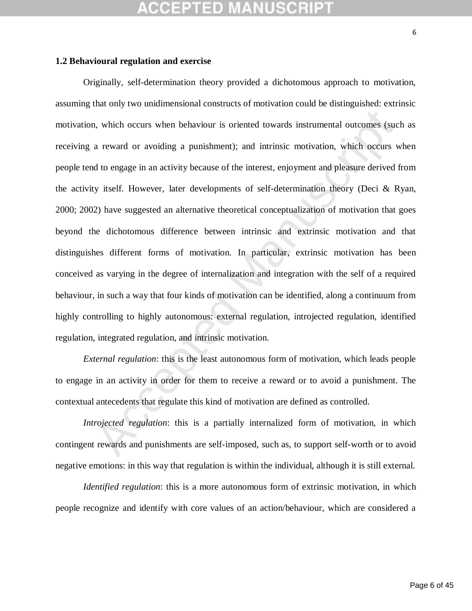## **1.2 Behavioural regulation and exercise**

In which occurs when behaviour is oriented towards instrumental outcomes (sue<br>a reward or avoiding a punishment); and intrinsic motivation, which occurs w<br>d to engage in an activity because of the interest, enjoyment and p Originally, self-determination theory provided a dichotomous approach to motivation, assuming that only two unidimensional constructs of motivation could be distinguished: extrinsic motivation, which occurs when behaviour is oriented towards instrumental outcomes (such as receiving a reward or avoiding a punishment); and intrinsic motivation, which occurs when people tend to engage in an activity because of the interest, enjoyment and pleasure derived from the activity itself. However, later developments of self-determination theory (Deci & Ryan, 2000; 2002) have suggested an alternative theoretical conceptualization of motivation that goes beyond the dichotomous difference between intrinsic and extrinsic motivation and that distinguishes different forms of motivation. In particular, extrinsic motivation has been conceived as varying in the degree of internalization and integration with the self of a required behaviour, in such a way that four kinds of motivation can be identified, along a continuum from highly controlling to highly autonomous: external regulation, introjected regulation, identified regulation, integrated regulation, and intrinsic motivation.

*External regulation*: this is the least autonomous form of motivation, which leads people to engage in an activity in order for them to receive a reward or to avoid a punishment. The contextual antecedents that regulate this kind of motivation are defined as controlled.

*Introjected regulation*: this is a partially internalized form of motivation, in which contingent rewards and punishments are self-imposed, such as, to support self-worth or to avoid negative emotions: in this way that regulation is within the individual, although it is still external.

*Identified regulation*: this is a more autonomous form of extrinsic motivation, in which people recognize and identify with core values of an action/behaviour, which are considered a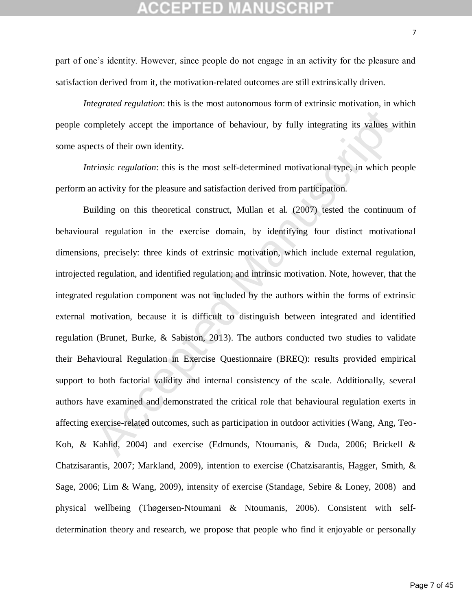# CEPTED MAN

part of one's identity. However, since people do not engage in an activity for the pleasure and satisfaction derived from it, the motivation-related outcomes are still extrinsically driven.

*Integrated regulation*: this is the most autonomous form of extrinsic motivation, in which people completely accept the importance of behaviour, by fully integrating its values within some aspects of their own identity.

*Intrinsic regulation*: this is the most self-determined motivational type, in which people perform an activity for the pleasure and satisfaction derived from participation.

mpletely accept the importance of behaviour, by fully integrating its values wites of their own identity.<br>
Extraction their integration: this is the most self-determined motivational type, in which per activity for the ple Building on this theoretical construct, Mullan et al. (2007) tested the continuum of behavioural regulation in the exercise domain, by identifying four distinct motivational dimensions, precisely: three kinds of extrinsic motivation, which include external regulation, introjected regulation, and identified regulation; and intrinsic motivation. Note, however, that the integrated regulation component was not included by the authors within the forms of extrinsic external motivation, because it is difficult to distinguish between integrated and identified regulation (Brunet, Burke, & Sabiston, 2013). The authors conducted two studies to validate their Behavioural Regulation in Exercise Questionnaire (BREQ): results provided empirical support to both factorial validity and internal consistency of the scale. Additionally, several authors have examined and demonstrated the critical role that behavioural regulation exerts in affecting exercise-related outcomes, such as participation in outdoor activities (Wang, Ang, Teo-Koh, & Kahlid, 2004) and exercise (Edmunds, Ntoumanis, & Duda, 2006; Brickell & Chatzisarantis, 2007; Markland, 2009), intention to exercise (Chatzisarantis, Hagger, Smith, & Sage, 2006; Lim & Wang, 2009), intensity of exercise (Standage, Sebire & Loney, 2008) and physical wellbeing (Thøgersen-Ntoumani & Ntoumanis, 2006). Consistent with selfdetermination theory and research, we propose that people who find it enjoyable or personally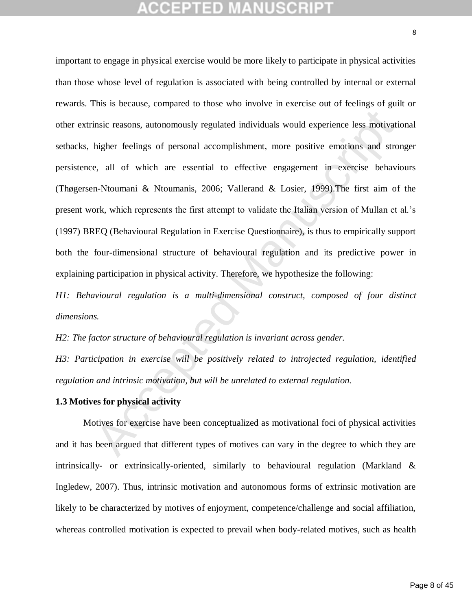# **CEPTED MANUSCR**

insic reasons, autonomously regulated individuals would experience less motivati<br>higher feelings of personal accomplishment, more positive emotions and stro<br>e, all of which are essential to effective engagement in exercise important to engage in physical exercise would be more likely to participate in physical activities than those whose level of regulation is associated with being controlled by internal or external rewards. This is because, compared to those who involve in exercise out of feelings of guilt or other extrinsic reasons, autonomously regulated individuals would experience less motivational setbacks, higher feelings of personal accomplishment, more positive emotions and stronger persistence, all of which are essential to effective engagement in exercise behaviours (Thøgersen-Ntoumani & Ntoumanis, 2006; Vallerand & Losier, 1999).The first aim of the present work, which represents the first attempt to validate the Italian version of Mullan et al.'s (1997) BREQ (Behavioural Regulation in Exercise Questionnaire), is thus to empirically support both the four-dimensional structure of behavioural regulation and its predictive power in explaining participation in physical activity. Therefore, we hypothesize the following:

*H1: Behavioural regulation is a multi-dimensional construct, composed of four distinct dimensions.*

*H2: The factor structure of behavioural regulation is invariant across gender.* 

*H3: Participation in exercise will be positively related to introjected regulation, identified regulation and intrinsic motivation, but will be unrelated to external regulation.*

## **1.3 Motives for physical activity**

Motives for exercise have been conceptualized as motivational foci of physical activities and it has been argued that different types of motives can vary in the degree to which they are intrinsically- or extrinsically-oriented, similarly to behavioural regulation (Markland & Ingledew, 2007). Thus, intrinsic motivation and autonomous forms of extrinsic motivation are likely to be characterized by motives of enjoyment, competence/challenge and social affiliation, whereas controlled motivation is expected to prevail when body-related motives, such as health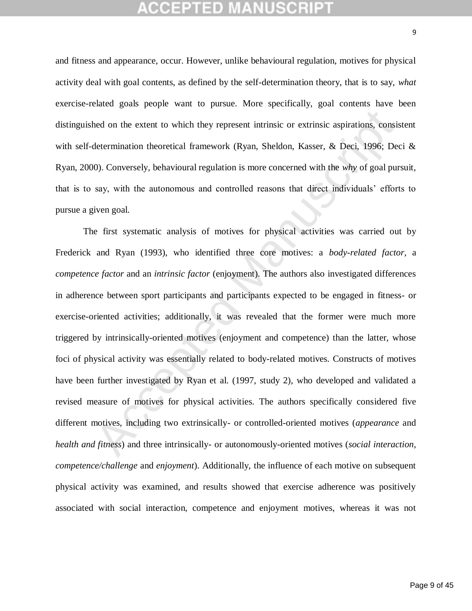# GEPTED

and fitness and appearance, occur. However, unlike behavioural regulation, motives for physical activity deal with goal contents, as defined by the self-determination theory, that is to say, *what* exercise-related goals people want to pursue. More specifically, goal contents have been distinguished on the extent to which they represent intrinsic or extrinsic aspirations, consistent with self-determination theoretical framework (Ryan, Sheldon, Kasser, & Deci, 1996; Deci & Ryan, 2000). Conversely, behavioural regulation is more concerned with the *why* of goal pursuit, that is to say, with the autonomous and controlled reasons that direct individuals' efforts to pursue a given goal.

ned on the extent to which they represent intrinsic or extrinsic aspirations, consistent extermination theoretical framework (Ryan, Sheldon, Kasser, & Deci, 1996; Deco). Conversely, behavioural regulation is more concerned The first systematic analysis of motives for physical activities was carried out by Frederick and Ryan (1993), who identified three core motives: a *body-related factor*, a *competence factor* and an *intrinsic factor* (enjoyment). The authors also investigated differences in adherence between sport participants and participants expected to be engaged in fitness- or exercise-oriented activities; additionally, it was revealed that the former were much more triggered by intrinsically-oriented motives (enjoyment and competence) than the latter, whose foci of physical activity was essentially related to body-related motives. Constructs of motives have been further investigated by Ryan et al. (1997, study 2), who developed and validated a revised measure of motives for physical activities. The authors specifically considered five different motives, including two extrinsically- or controlled-oriented motives (*appearance* and *health and fitness*) and three intrinsically- or autonomously-oriented motives (*social interaction*, *competence/challenge* and *enjoyment*). Additionally, the influence of each motive on subsequent physical activity was examined, and results showed that exercise adherence was positively associated with social interaction, competence and enjoyment motives, whereas it was not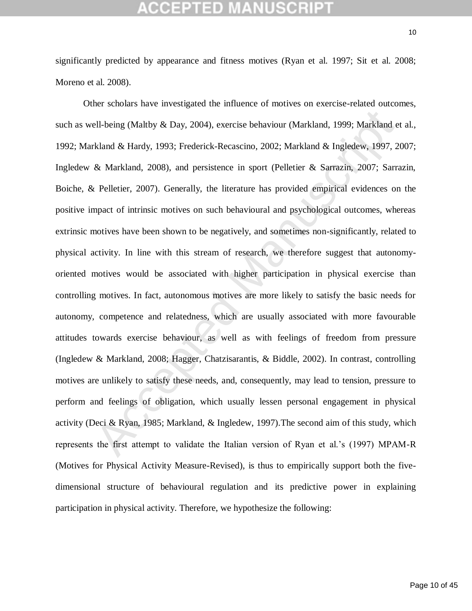# **CEPTED MANUSC**

significantly predicted by appearance and fitness motives (Ryan et al. 1997; Sit et al. 2008; Moreno et al. 2008).

ell-being (Malthy & Day, 2004), exercise behaviour (Markland, 1999; Markland e kland & Hardy, 1993; Frederick-Recascino, 2002; Markland & Ingledew, 1997, 2<br>& Markland, 2008), and persistence in sport (Pelletier & Sarrazin, Other scholars have investigated the influence of motives on exercise-related outcomes, such as well-being (Maltby & Day, 2004), exercise behaviour (Markland, 1999; Markland et al., 1992; Markland & Hardy, 1993; Frederick-Recascino, 2002; Markland & Ingledew, 1997, 2007; Ingledew & Markland, 2008), and persistence in sport (Pelletier & Sarrazin, 2007; Sarrazin, Boiche, & Pelletier, 2007). Generally, the literature has provided empirical evidences on the positive impact of intrinsic motives on such behavioural and psychological outcomes, whereas extrinsic motives have been shown to be negatively, and sometimes non-significantly, related to physical activity. In line with this stream of research, we therefore suggest that autonomyoriented motives would be associated with higher participation in physical exercise than controlling motives. In fact, autonomous motives are more likely to satisfy the basic needs for autonomy, competence and relatedness, which are usually associated with more favourable attitudes towards exercise behaviour, as well as with feelings of freedom from pressure (Ingledew & Markland, 2008; Hagger, Chatzisarantis, & Biddle, 2002). In contrast, controlling motives are unlikely to satisfy these needs, and, consequently, may lead to tension, pressure to perform and feelings of obligation, which usually lessen personal engagement in physical activity (Deci & Ryan, 1985; Markland, & Ingledew, 1997).The second aim of this study, which represents the first attempt to validate the Italian version of Ryan et al.'s (1997) MPAM-R (Motives for Physical Activity Measure-Revised), is thus to empirically support both the fivedimensional structure of behavioural regulation and its predictive power in explaining participation in physical activity. Therefore, we hypothesize the following: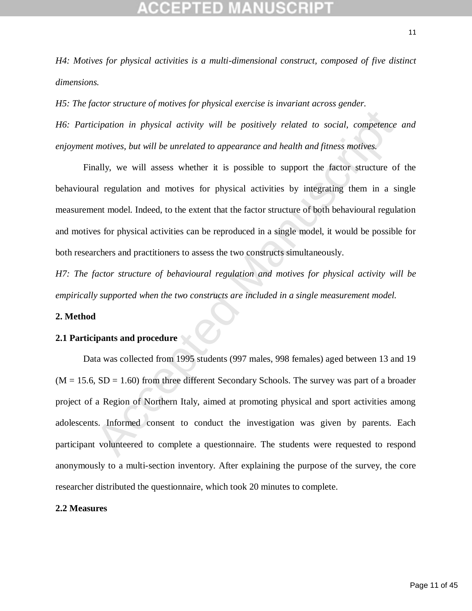*H4: Motives for physical activities is a multi-dimensional construct, composed of five distinct dimensions.*

*H5: The factor structure of motives for physical exercise is invariant across gender.*

*H6: Participation in physical activity will be positively related to social, competence and enjoyment motives, but will be unrelated to appearance and health and fitness motives.*

Finally, we will assess whether it is possible to support the factor structure of the behavioural regulation and motives for physical activities by integrating them in a single measurement model. Indeed, to the extent that the factor structure of both behavioural regulation and motives for physical activities can be reproduced in a single model, it would be possible for both researchers and practitioners to assess the two constructs simultaneously.

*H7: The factor structure of behavioural regulation and motives for physical activity will be empirically supported when the two constructs are included in a single measurement model.*

## **2. Method**

## **2.1 Participants and procedure**

icipation in physical activity will be positively related to social, competence<br>motives, but will be unrelated to appearance and health and fitness motives.<br>hally, we will assess whether it is possible to support the fact Data was collected from 1995 students (997 males, 998 females) aged between 13 and 19  $(M = 15.6, SD = 1.60)$  from three different Secondary Schools. The survey was part of a broader project of a Region of Northern Italy, aimed at promoting physical and sport activities among adolescents. Informed consent to conduct the investigation was given by parents. Each participant volunteered to complete a questionnaire. The students were requested to respond anonymously to a multi-section inventory. After explaining the purpose of the survey, the core researcher distributed the questionnaire, which took 20 minutes to complete.

## **2.2 Measures**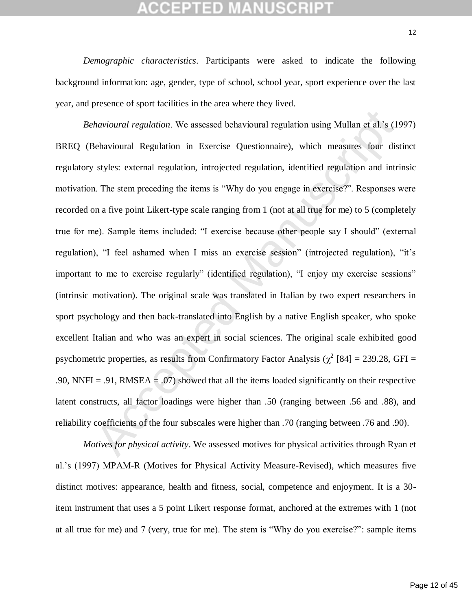# GEPTED

*Demographic characteristics*. Participants were asked to indicate the following background information: age, gender, type of school, school year, sport experience over the last year, and presence of sport facilities in the area where they lived.

*havioural regulation*. We assessed behavioural regulation using Mullan et al.<sup>3</sup><sub>8</sub> (1<sup>1</sup><br>chavioural Regulation in Exercise Questionnaire), which measures four dis<br>styles: external regulation, introjected regulation, ide *Behavioural regulation*. We assessed behavioural regulation using Mullan et al.'s (1997) BREQ (Behavioural Regulation in Exercise Questionnaire), which measures four distinct regulatory styles: external regulation, introjected regulation, identified regulation and intrinsic motivation. The stem preceding the items is "Why do you engage in exercise?". Responses were recorded on a five point Likert-type scale ranging from 1 (not at all true for me) to 5 (completely true for me). Sample items included: "I exercise because other people say I should" (external regulation), "I feel ashamed when I miss an exercise session" (introjected regulation), "it's important to me to exercise regularly" (identified regulation), "I enjoy my exercise sessions" (intrinsic motivation). The original scale was translated in Italian by two expert researchers in sport psychology and then back-translated into English by a native English speaker, who spoke excellent Italian and who was an expert in social sciences. The original scale exhibited good psychometric properties, as results from Confirmatory Factor Analysis ( $\chi^2$  [84] = 239.28, GFI = .90, NNFI = .91, RMSEA = .07) showed that all the items loaded significantly on their respective latent constructs, all factor loadings were higher than .50 (ranging between .56 and .88), and reliability coefficients of the four subscales were higher than .70 (ranging between .76 and .90).

*Motives for physical activity*. We assessed motives for physical activities through Ryan et al.'s (1997) MPAM-R (Motives for Physical Activity Measure-Revised), which measures five distinct motives: appearance, health and fitness, social, competence and enjoyment. It is a 30 item instrument that uses a 5 point Likert response format, anchored at the extremes with 1 (not at all true for me) and 7 (very, true for me). The stem is "Why do you exercise?": sample items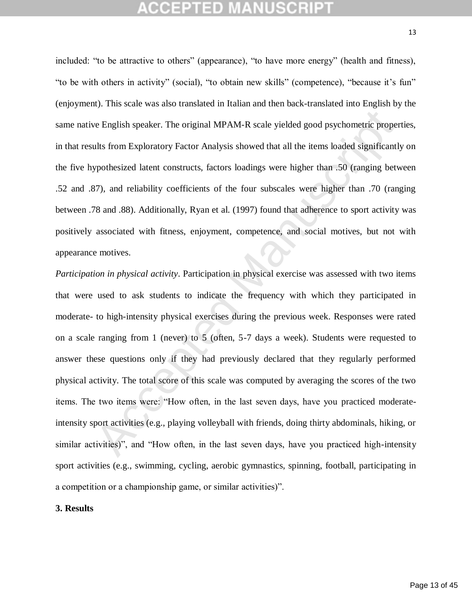# GEPTED

included: "to be attractive to others" (appearance), "to have more energy" (health and fitness), "to be with others in activity" (social), "to obtain new skills" (competence), "because it's fun" (enjoyment). This scale was also translated in Italian and then back-translated into English by the same native English speaker. The original MPAM-R scale yielded good psychometric properties, in that results from Exploratory Factor Analysis showed that all the items loaded significantly on the five hypothesized latent constructs, factors loadings were higher than .50 (ranging between .52 and .87), and reliability coefficients of the four subscales were higher than .70 (ranging between .78 and .88). Additionally, Ryan et al. (1997) found that adherence to sport activity was positively associated with fitness, enjoyment, competence, and social motives, but not with appearance motives.

ive English speaker. The original MPAM-R scale yielded good psychometric properties from Exploratory Factor Analysis showed that all the items loaded significantly pyothesized latent constructs, factors loadings were highe *Participation in physical activity*. Participation in physical exercise was assessed with two items that were used to ask students to indicate the frequency with which they participated in moderate- to high-intensity physical exercises during the previous week. Responses were rated on a scale ranging from 1 (never) to 5 (often, 5-7 days a week). Students were requested to answer these questions only if they had previously declared that they regularly performed physical activity. The total score of this scale was computed by averaging the scores of the two items. The two items were: "How often, in the last seven days, have you practiced moderateintensity sport activities (e.g., playing volleyball with friends, doing thirty abdominals, hiking, or similar activities)", and "How often, in the last seven days, have you practiced high-intensity sport activities (e.g., swimming, cycling, aerobic gymnastics, spinning, football, participating in a competition or a championship game, or similar activities)".

## **3. Results**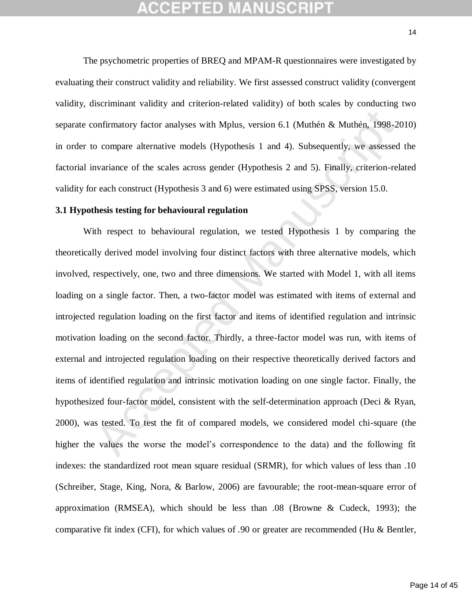# **CEPTED MANUSC**

The psychometric properties of BREQ and MPAM-R questionnaires were investigated by evaluating their construct validity and reliability. We first assessed construct validity (convergent validity, discriminant validity and criterion-related validity) of both scales by conducting two separate confirmatory factor analyses with Mplus, version 6.1 (Muthén & Muthén, 1998-2010) in order to compare alternative models (Hypothesis 1 and 4). Subsequently, we assessed the factorial invariance of the scales across gender (Hypothesis 2 and 5). Finally, criterion-related validity for each construct (Hypothesis 3 and 6) were estimated using SPSS, version 15.0.

## **3.1 Hypothesis testing for behavioural regulation**

onfirmatory factor analyses with Mplus, version 6.1 (Muthén & Muthén, 1998-2<br>
o compare alternative models (Hypothesis 1 and 4). Subsequently, we assessed<br>
nvariance of the scales across gender (Hypothesis 2 and 5). Finall With respect to behavioural regulation, we tested Hypothesis 1 by comparing the theoretically derived model involving four distinct factors with three alternative models, which involved, respectively, one, two and three dimensions. We started with Model 1, with all items loading on a single factor. Then, a two-factor model was estimated with items of external and introjected regulation loading on the first factor and items of identified regulation and intrinsic motivation loading on the second factor. Thirdly, a three-factor model was run, with items of external and introjected regulation loading on their respective theoretically derived factors and items of identified regulation and intrinsic motivation loading on one single factor. Finally, the hypothesized four-factor model, consistent with the self-determination approach (Deci & Ryan, 2000), was tested. To test the fit of compared models, we considered model chi-square (the higher the values the worse the model's correspondence to the data) and the following fit indexes: the standardized root mean square residual (SRMR), for which values of less than .10 (Schreiber, Stage, King, Nora, & Barlow, 2006) are favourable; the root-mean-square error of approximation (RMSEA), which should be less than .08 (Browne & Cudeck, 1993); the comparative fit index (CFI), for which values of .90 or greater are recommended (Hu & Bentler,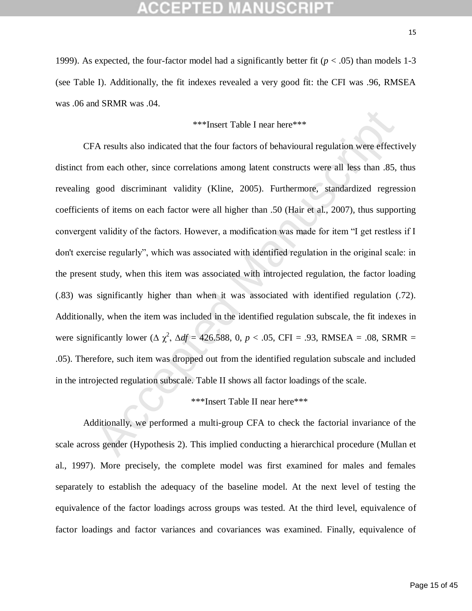1999). As expected, the four-factor model had a significantly better fit ( $p < .05$ ) than models 1-3 (see Table I). Additionally, the fit indexes revealed a very good fit: the CFI was .96, RMSEA was .06 and SRMR was .04.

## \*\*\*Insert Table I near here\*\*\*

<sup>884</sup> Insert Table I near here<sup>884</sup><br><sup>884</sup> Insert Table I near here<sup>884</sup><br><sup>884</sup> Insert Comparison among latent constructs were all less than .85,<br>8000 discriminant validity (Kline, 2005). Furthermore, standardized regres<br>81 CFA results also indicated that the four factors of behavioural regulation were effectively distinct from each other, since correlations among latent constructs were all less than .85, thus revealing good discriminant validity (Kline, 2005). Furthermore, standardized regression coefficients of items on each factor were all higher than .50 (Hair et al., 2007), thus supporting convergent validity of the factors. However, a modification was made for item "I get restless if I don't exercise regularly", which was associated with identified regulation in the original scale: in the present study, when this item was associated with introjected regulation, the factor loading (.83) was significantly higher than when it was associated with identified regulation (.72). Additionally, when the item was included in the identified regulation subscale, the fit indexes in were significantly lower ( $\Delta \chi^2$ ,  $\Delta df = 426.588$ , 0,  $p < .05$ , CFI = .93, RMSEA = .08, SRMR = .05). Therefore, such item was dropped out from the identified regulation subscale and included in the introjected regulation subscale. Table II shows all factor loadings of the scale.

## \*\*\*Insert Table II near here\*\*\*

Additionally, we performed a multi-group CFA to check the factorial invariance of the scale across gender (Hypothesis 2). This implied conducting a hierarchical procedure (Mullan et al., 1997). More precisely, the complete model was first examined for males and females separately to establish the adequacy of the baseline model. At the next level of testing the equivalence of the factor loadings across groups was tested. At the third level, equivalence of factor loadings and factor variances and covariances was examined. Finally, equivalence of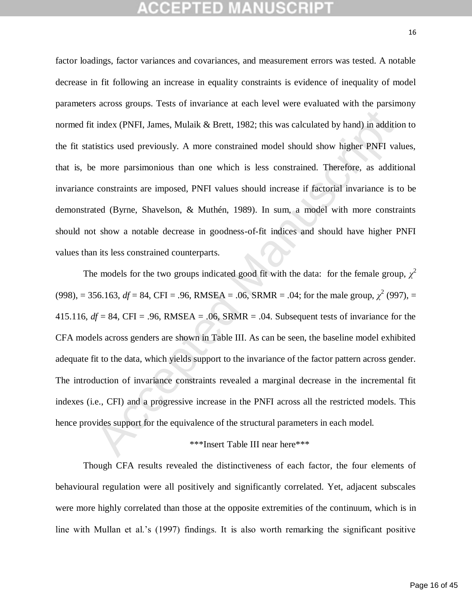factor loadings, factor variances and covariances, and measurement errors was tested. A notable decrease in fit following an increase in equality constraints is evidence of inequality of model parameters across groups. Tests of invariance at each level were evaluated with the parsimony normed fit index (PNFI, James, Mulaik & Brett, 1982; this was calculated by hand) in addition to the fit statistics used previously. A more constrained model should show higher PNFI values, that is, be more parsimonious than one which is less constrained. Therefore, as additional invariance constraints are imposed, PNFI values should increase if factorial invariance is to be demonstrated (Byrne, Shavelson, & Muthén, 1989). In sum, a model with more constraints should not show a notable decrease in goodness-of-fit indices and should have higher PNFI values than its less constrained counterparts.

index (PNFI, James, Mulaik & Brett, 1982; this was calculated by hand) in additic<br>sitics used previously. A more constrained model should show higher PNFI vale<br>more parsimonious than one which is less constrained. Therefo The models for the two groups indicated good fit with the data: for the female group,  $\chi^2$  $(998)$ , = 356.163,  $df = 84$ , CFI = .96, RMSEA = .06, SRMR = .04; for the male group,  $\chi^2$  (997), = 415.116,  $df = 84$ , CFI = .96, RMSEA = .06, SRMR = .04. Subsequent tests of invariance for the CFA models across genders are shown in Table III. As can be seen, the baseline model exhibited adequate fit to the data, which yields support to the invariance of the factor pattern across gender. The introduction of invariance constraints revealed a marginal decrease in the incremental fit indexes (i.e., CFI) and a progressive increase in the PNFI across all the restricted models. This hence provides support for the equivalence of the structural parameters in each model.

## \*\*\*Insert Table III near here\*\*\*

Though CFA results revealed the distinctiveness of each factor, the four elements of behavioural regulation were all positively and significantly correlated. Yet, adjacent subscales were more highly correlated than those at the opposite extremities of the continuum, which is in line with Mullan et al.'s (1997) findings. It is also worth remarking the significant positive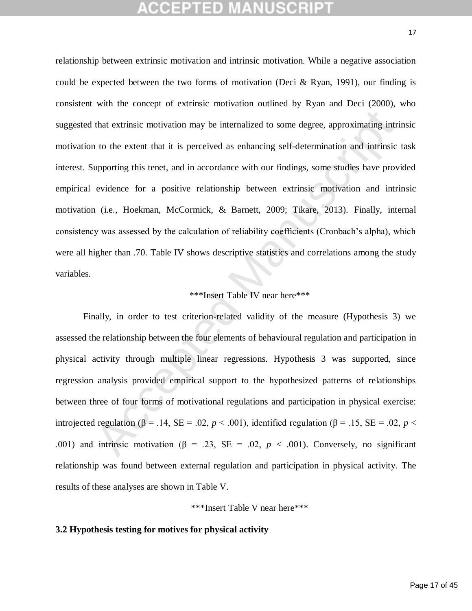# CEPTED

that extrinsic motivation may be internalized to some degree, approximating intri<br>
10 the extent that it is perceived as enhancing self-determination and intrinsic<br>
upporting this tenet, and in accordance with our finding relationship between extrinsic motivation and intrinsic motivation. While a negative association could be expected between the two forms of motivation (Deci & Ryan, 1991), our finding is consistent with the concept of extrinsic motivation outlined by Ryan and Deci (2000), who suggested that extrinsic motivation may be internalized to some degree, approximating intrinsic motivation to the extent that it is perceived as enhancing self-determination and intrinsic task interest. Supporting this tenet, and in accordance with our findings, some studies have provided empirical evidence for a positive relationship between extrinsic motivation and intrinsic motivation (i.e., Hoekman, McCormick, & Barnett, 2009; Tikare, 2013). Finally, internal consistency was assessed by the calculation of reliability coefficients (Cronbach's alpha), which were all higher than .70. Table IV shows descriptive statistics and correlations among the study variables.

# \*\*\*Insert Table IV near here\*\*\*

Finally, in order to test criterion-related validity of the measure (Hypothesis 3) we assessed the relationship between the four elements of behavioural regulation and participation in physical activity through multiple linear regressions. Hypothesis 3 was supported, since regression analysis provided empirical support to the hypothesized patterns of relationships between three of four forms of motivational regulations and participation in physical exercise: introjected regulation (β = .14, SE = .02, *p* < .001), identified regulation (β = .15, SE = .02, *p* < .001) and intrinsic motivation ( $\beta$  = .23, SE = .02,  $p$  < .001). Conversely, no significant relationship was found between external regulation and participation in physical activity. The results of these analyses are shown in Table V.

\*\*\*Insert Table V near here\*\*\*

## **3.2 Hypothesis testing for motives for physical activity**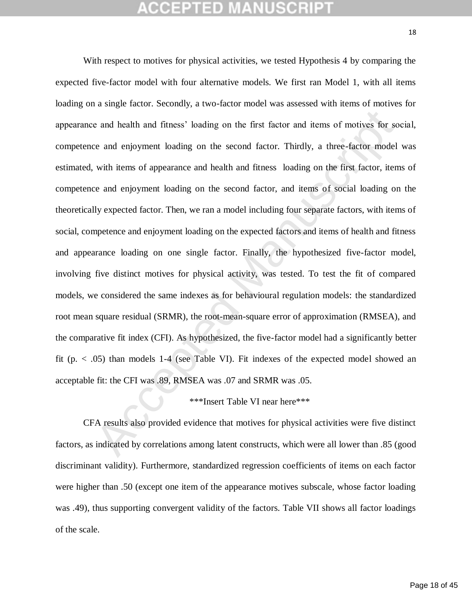# GEPTED

e and health and fitness' loading on the first factor and items of motives for so<br>
and enjoyment loading on the second factor. Thirdly, a three-factor model<br>
with items of appearance and health and fitness loading on the f With respect to motives for physical activities, we tested Hypothesis 4 by comparing the expected five-factor model with four alternative models. We first ran Model 1, with all items loading on a single factor. Secondly, a two-factor model was assessed with items of motives for appearance and health and fitness' loading on the first factor and items of motives for social, competence and enjoyment loading on the second factor. Thirdly, a three-factor model was estimated, with items of appearance and health and fitness loading on the first factor, items of competence and enjoyment loading on the second factor, and items of social loading on the theoretically expected factor. Then, we ran a model including four separate factors, with items of social, competence and enjoyment loading on the expected factors and items of health and fitness and appearance loading on one single factor. Finally, the hypothesized five-factor model, involving five distinct motives for physical activity, was tested. To test the fit of compared models, we considered the same indexes as for behavioural regulation models: the standardized root mean square residual (SRMR), the root-mean-square error of approximation (RMSEA), and the comparative fit index (CFI). As hypothesized, the five-factor model had a significantly better fit (p.  $\lt$  .05) than models 1-4 (see Table VI). Fit indexes of the expected model showed an acceptable fit: the CFI was .89, RMSEA was .07 and SRMR was .05.

## \*\*\*Insert Table VI near here\*\*\*

CFA results also provided evidence that motives for physical activities were five distinct factors, as indicated by correlations among latent constructs, which were all lower than .85 (good discriminant validity). Furthermore, standardized regression coefficients of items on each factor were higher than .50 (except one item of the appearance motives subscale, whose factor loading was .49), thus supporting convergent validity of the factors. Table VII shows all factor loadings of the scale.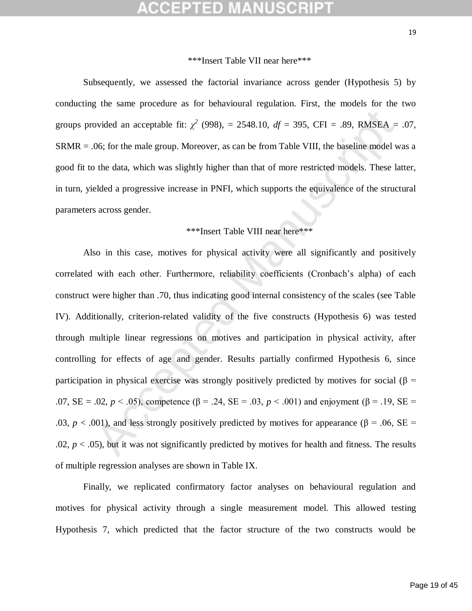## \*\*\*Insert Table VII near here\*\*\*

Subsequently, we assessed the factorial invariance across gender (Hypothesis 5) by conducting the same procedure as for behavioural regulation. First, the models for the two groups provided an acceptable fit:  $\chi^2$  (998), = 2548.10,  $df = 395$ , CFI = .89, RMSEA = .07, SRMR = .06; for the male group. Moreover, as can be from Table VIII, the baseline model was a good fit to the data, which was slightly higher than that of more restricted models. These latter, in turn, yielded a progressive increase in PNFI, which supports the equivalence of the structural parameters across gender.

## \*\*\*Insert Table VIII near here\*\*\*

ovided an acceptable fit:  $\chi^2$  (998), = 2548.10,  $df = 395$ , CFI = .89, RMSEA = 06; for the male group. Moreover, as can be from Table VIII, the baseline model w<br>the data, which was slightly higher than that of more rest Also in this case, motives for physical activity were all significantly and positively correlated with each other. Furthermore, reliability coefficients (Cronbach's alpha) of each construct were higher than .70, thus indicating good internal consistency of the scales (see Table IV). Additionally, criterion-related validity of the five constructs (Hypothesis 6) was tested through multiple linear regressions on motives and participation in physical activity, after controlling for effects of age and gender. Results partially confirmed Hypothesis 6, since participation in physical exercise was strongly positively predicted by motives for social ( $\beta$  = .07, SE = .02, *p* < .05), competence (β = .24, SE = .03, *p* < .001) and enjoyment (β = .19, SE = .03,  $p < .001$ ), and less strongly positively predicted by motives for appearance ( $\beta = .06$ , SE = .02,  $p < .05$ ), but it was not significantly predicted by motives for health and fitness. The results of multiple regression analyses are shown in Table IX.

Finally, we replicated confirmatory factor analyses on behavioural regulation and motives for physical activity through a single measurement model. This allowed testing Hypothesis 7, which predicted that the factor structure of the two constructs would be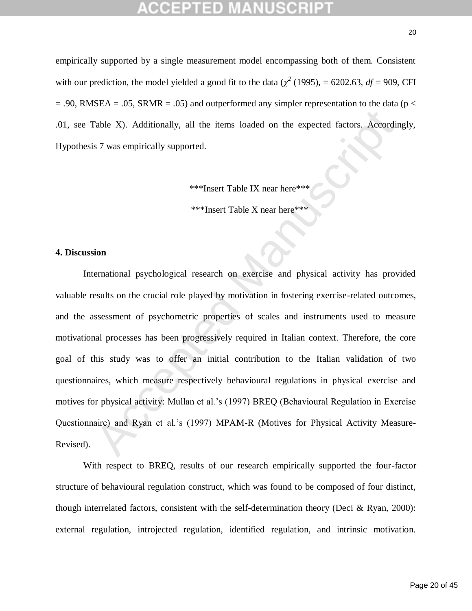empirically supported by a single measurement model encompassing both of them. Consistent with our prediction, the model yielded a good fit to the data  $(\chi^2(1995))$ , = 6202.63, *df* = 909, CFI  $= .90$ , RMSEA = .05, SRMR = .05) and outperformed any simpler representation to the data (p < .01, see Table X). Additionally, all the items loaded on the expected factors. Accordingly, Hypothesis 7 was empirically supported.

\*\*\*Insert Table IX near here\*\*\*

\*\*\*Insert Table X near here\*\*\*

## **4. Discussion**

Table X). Additionally, all the items loaded on the expected factors. Accordins and the items loaded on the expected factors. Accordinated Manuscript and the items of the Manuscript and physical activity has provestly on t International psychological research on exercise and physical activity has provided valuable results on the crucial role played by motivation in fostering exercise-related outcomes, and the assessment of psychometric properties of scales and instruments used to measure motivational processes has been progressively required in Italian context. Therefore, the core goal of this study was to offer an initial contribution to the Italian validation of two questionnaires, which measure respectively behavioural regulations in physical exercise and motives for physical activity: Mullan et al.'s (1997) BREQ (Behavioural Regulation in Exercise Questionnaire) and Ryan et al.'s (1997) MPAM-R (Motives for Physical Activity Measure-Revised).

With respect to BREQ, results of our research empirically supported the four-factor structure of behavioural regulation construct, which was found to be composed of four distinct, though interrelated factors, consistent with the self-determination theory (Deci & Ryan, 2000): external regulation, introjected regulation, identified regulation, and intrinsic motivation.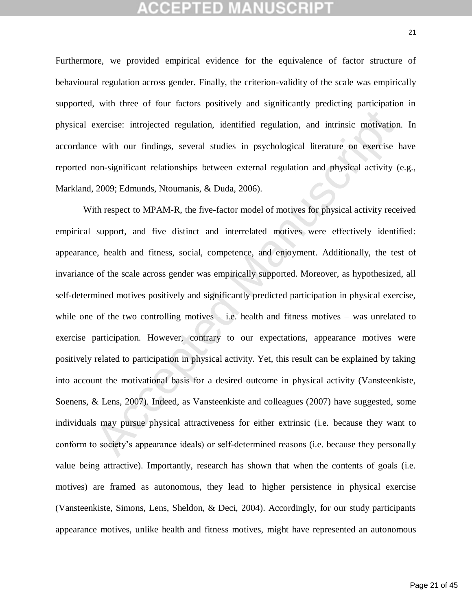# GEPTED M

Furthermore, we provided empirical evidence for the equivalence of factor structure of behavioural regulation across gender. Finally, the criterion-validity of the scale was empirically supported, with three of four factors positively and significantly predicting participation in physical exercise: introjected regulation, identified regulation, and intrinsic motivation. In accordance with our findings, several studies in psychological literature on exercise have reported non-significant relationships between external regulation and physical activity (e.g., Markland, 2009; Edmunds, Ntoumanis, & Duda, 2006).

exercise: introjected regulation, identified regulation, and intrinsic motivation<br>e with our findings, several studies in psychological literature on exercise I<br>consignificant relationships between external regulation and With respect to MPAM-R, the five-factor model of motives for physical activity received empirical support, and five distinct and interrelated motives were effectively identified: appearance, health and fitness, social, competence, and enjoyment. Additionally, the test of invariance of the scale across gender was empirically supported. Moreover, as hypothesized, all self-determined motives positively and significantly predicted participation in physical exercise, while one of the two controlling motives – i.e. health and fitness motives – was unrelated to exercise participation. However, contrary to our expectations, appearance motives were positively related to participation in physical activity. Yet, this result can be explained by taking into account the motivational basis for a desired outcome in physical activity (Vansteenkiste, Soenens, & Lens, 2007). Indeed, as Vansteenkiste and colleagues (2007) have suggested, some individuals may pursue physical attractiveness for either extrinsic (i.e. because they want to conform to society's appearance ideals) or self-determined reasons (i.e. because they personally value being attractive). Importantly, research has shown that when the contents of goals (i.e. motives) are framed as autonomous, they lead to higher persistence in physical exercise (Vansteenkiste, Simons, Lens, Sheldon, & Deci, 2004). Accordingly, for our study participants appearance motives, unlike health and fitness motives, might have represented an autonomous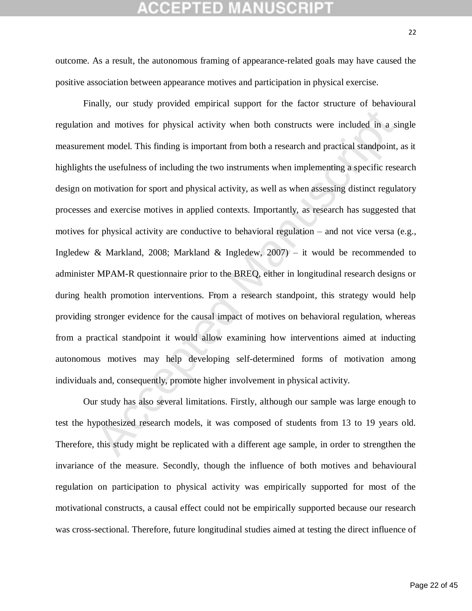# **CEPTED MANUSCR**

outcome. As a result, the autonomous framing of appearance-related goals may have caused the positive association between appearance motives and participation in physical exercise.

and motives for physical activity when both constructs were included in a sient model. This finding is important from both a research and practical standpoint, the usefulness of including the two instruments when implemen Finally, our study provided empirical support for the factor structure of behavioural regulation and motives for physical activity when both constructs were included in a single measurement model. This finding is important from both a research and practical standpoint, as it highlights the usefulness of including the two instruments when implementing a specific research design on motivation for sport and physical activity, as well as when assessing distinct regulatory processes and exercise motives in applied contexts. Importantly, as research has suggested that motives for physical activity are conductive to behavioral regulation – and not vice versa (e.g., Ingledew & Markland, 2008; Markland & Ingledew, 2007) – it would be recommended to administer MPAM-R questionnaire prior to the BREQ, either in longitudinal research designs or during health promotion interventions. From a research standpoint, this strategy would help providing stronger evidence for the causal impact of motives on behavioral regulation, whereas from a practical standpoint it would allow examining how interventions aimed at inducting autonomous motives may help developing self-determined forms of motivation among individuals and, consequently, promote higher involvement in physical activity.

Our study has also several limitations. Firstly, although our sample was large enough to test the hypothesized research models, it was composed of students from 13 to 19 years old. Therefore, this study might be replicated with a different age sample, in order to strengthen the invariance of the measure. Secondly, though the influence of both motives and behavioural regulation on participation to physical activity was empirically supported for most of the motivational constructs, a causal effect could not be empirically supported because our research was cross-sectional. Therefore, future longitudinal studies aimed at testing the direct influence of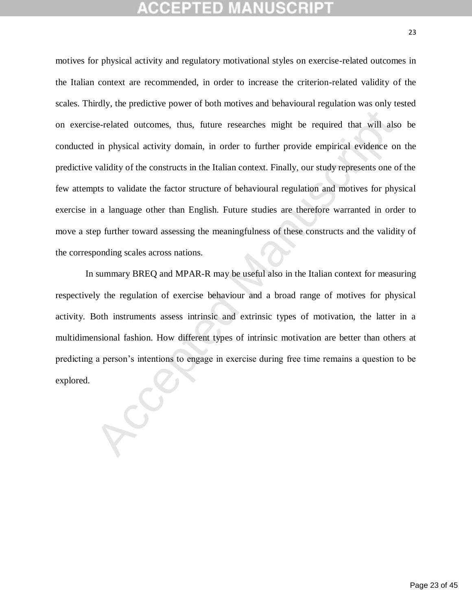se-related outcomes, thus, future researches might be required that will also<br>in physical activity domain, in order to further provide empirical evidence on<br>validity of the constructs in the Italian context. Finally, our s motives for physical activity and regulatory motivational styles on exercise-related outcomes in the Italian context are recommended, in order to increase the criterion-related validity of the scales. Thirdly, the predictive power of both motives and behavioural regulation was only tested on exercise-related outcomes, thus, future researches might be required that will also be conducted in physical activity domain, in order to further provide empirical evidence on the predictive validity of the constructs in the Italian context. Finally, our study represents one of the few attempts to validate the factor structure of behavioural regulation and motives for physical exercise in a language other than English. Future studies are therefore warranted in order to move a step further toward assessing the meaningfulness of these constructs and the validity of the corresponding scales across nations.

In summary BREQ and MPAR-R may be useful also in the Italian context for measuring respectively the regulation of exercise behaviour and a broad range of motives for physical activity. Both instruments assess intrinsic and extrinsic types of motivation, the latter in a multidimensional fashion. How different types of intrinsic motivation are better than others at predicting a person's intentions to engage in exercise during free time remains a question to be explored.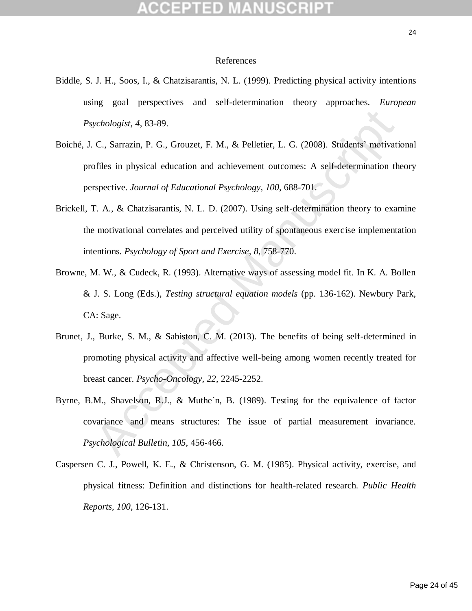## References

- Biddle, S. J. H., Soos, I., & Chatzisarantis, N. L. (1999). Predicting physical activity intentions using goal perspectives and self-determination theory approaches. *European Psychologist*, *4*, 83-89.
- Boiché, J. C., Sarrazin, P. G., Grouzet, F. M., & Pelletier, L. G. (2008). Students' motivational profiles in physical education and achievement outcomes: A self-determination theory perspective. *Journal of Educational Psychology*, *100*, 688-701.
- Brickell, T. A., & Chatzisarantis, N. L. D. (2007). Using self-determination theory to examine the motivational correlates and perceived utility of spontaneous exercise implementation intentions. *Psychology of Sport and Exercise, 8*, 758-770.
- problogist, 4, 83-89.<br>
C., Sarrazin, P. G., Grouzet, F. M., & Pelletier, L. G. (2008). Students' motivati<br>
fiftes in physical education and achievement outcomes: A self-determination the<br>
spective. Journal of Educational P Browne, M. W., & Cudeck, R. (1993). Alternative ways of assessing model fit. In K. A. Bollen & J. S. Long (Eds.), *Testing structural equation models* (pp. 136-162). Newbury Park, CA: Sage.
- Brunet, J., Burke, S. M., & Sabiston, C. M. (2013). The benefits of being self-determined in promoting physical activity and affective well-being among women recently treated for breast cancer. *Psycho-Oncology, 22*, 2245-2252.
- Byrne, B.M., Shavelson, R.J., & Muthe´n, B. (1989). Testing for the equivalence of factor covariance and means structures: The issue of partial measurement invariance. *Psychological Bulletin, 105*, 456-466.
- Caspersen C. J., Powell, K. E., & Christenson, G. M. (1985). Physical activity, exercise, and physical fitness: Definition and distinctions for health-related research*. Public Health Reports, 100*, 126-131.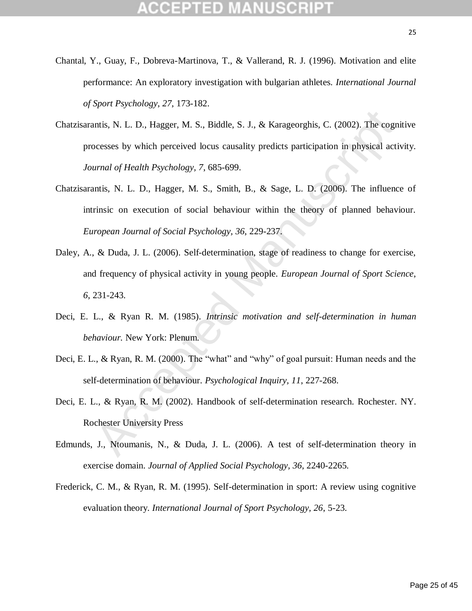- Chantal, Y., Guay, F., Dobreva-Martinova, T., & Vallerand, R. J. (1996). Motivation and elite performance: An exploratory investigation with bulgarian athletes. *International Journal of Sport Psychology*, *27*, 173-182.
- unis, N. L. D., Hagger, M. S., Biddle, S. J., & Karageorghis, C. (2002). The cogn<br>ccesses by which perceived locus causality predicts participation in physical acti<br>unral of Health Psychology, 7, 685-699.<br>mtis, N. L. D., H Chatzisarantis, N. L. D., Hagger, M. S., Biddle, S. J., & Karageorghis, C. (2002). The cognitive processes by which perceived locus causality predicts participation in physical activity. *Journal of Health Psychology, 7*, 685-699.
- Chatzisarantis, N. L. D., Hagger, M. S., Smith, B., & Sage, L. D. (2006). The influence of intrinsic on execution of social behaviour within the theory of planned behaviour. *European Journal of Social Psychology, 36*, 229-237.
- Daley, A., & Duda, J. L. (2006). Self-determination, stage of readiness to change for exercise, and frequency of physical activity in young people. *European Journal of Sport Science*, *6*, 231-243.
- Deci, E. L., & Ryan R. M. (1985). *Intrinsic motivation and self-determination in human behaviour.* New York: Plenum.
- Deci, E. L., & Ryan, R. M. (2000). The "what" and "why" of goal pursuit: Human needs and the self-determination of behaviour. *Psychological Inquiry, 11*, 227-268.
- Deci, E. L., & Ryan, R. M. (2002). Handbook of self-determination research. Rochester. NY. Rochester University Press
- Edmunds, J., Ntoumanis, N., & Duda, J. L. (2006). A test of self-determination theory in exercise domain. *Journal of Applied Social Psychology, 36*, 2240-2265.
- Frederick, C. M., & Ryan, R. M. (1995). Self-determination in sport: A review using cognitive evaluation theory. *International Journal of Sport Psychology, 26*, 5-23.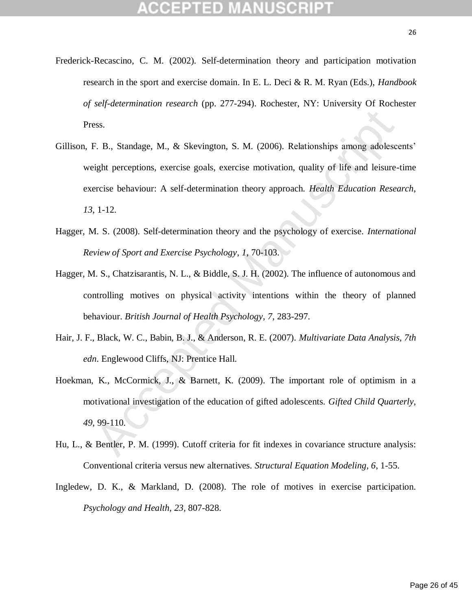- Frederick-Recascino, C. M. (2002). Self-determination theory and participation motivation research in the sport and exercise domain. In E. L. Deci & R. M. Ryan (Eds.), *Handbook of self-determination research* (pp. 277-294). Rochester, NY: University Of Rochester Press.
- E. B., Standage, M., & Skevington, S. M. (2006). Relationships among adolesce<br>
E. B., Standage, M., & Skevington, S. M. (2006). Relationships among adolesce<br>
eight perceptions, exercise goals, exercise motivation, quality Gillison, F. B., Standage, M., & Skevington, S. M. (2006). Relationships among adolescents' weight perceptions, exercise goals, exercise motivation, quality of life and leisure-time exercise behaviour: A self-determination theory approach. *Health Education Research*, *13*, 1-12.
- Hagger, M. S. (2008). Self-determination theory and the psychology of exercise. *International Review of Sport and Exercise Psychology*, *1*, 70-103.
- Hagger, M. S., Chatzisarantis, N. L., & Biddle, S. J. H. (2002). The influence of autonomous and controlling motives on physical activity intentions within the theory of planned behaviour. *British Journal of Health Psychology*, *7*, 283-297.
- Hair, J. F., Black, W. C., Babin, B. J., & Anderson, R. E. (2007). *Multivariate Data Analysis, 7th edn*. Englewood Cliffs, NJ: Prentice Hall.
- Hoekman, K., McCormick, J., & Barnett, K. (2009). The important role of optimism in a motivational investigation of the education of gifted adolescents. *Gifted Child Quarterly, 49*, 99-110.
- Hu, L., & Bentler, P. M. (1999). Cutoff criteria for fit indexes in covariance structure analysis: Conventional criteria versus new alternatives. *Structural Equation Modeling, 6*, 1-55.
- Ingledew, D. K., & Markland, D. (2008). [The role of motives in exercise participation.](http://147.143.95.81:1971/dspace/redirect_to_dspace?width=600&height=600&itemid=2718&TB_iframe=true) *Psychology and Health, 23,* 807-828.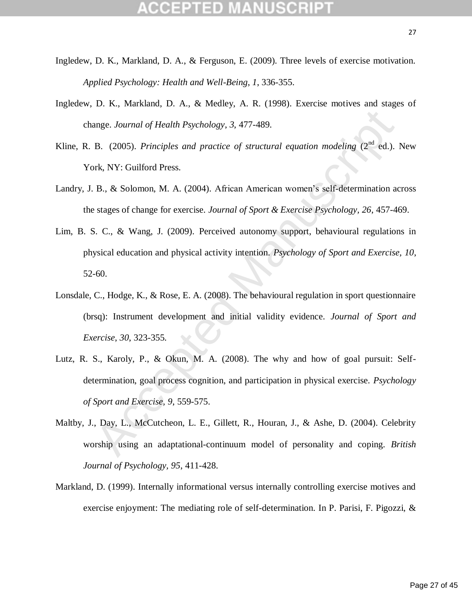- Ingledew, D. K., Markland, D. A., & Ferguson, E. (2009). Three levels of exercise motivation. *Applied Psychology: Health and Well-Being*, *1*, 336-355.
- Ingledew, D. K., Markland, D. A., & Medley, A. R. (1998). Exercise motives and stages of change. *Journal of Health Psychology*, *3*, 477-489.
- Kline, R. B. (2005). *Principles and practice of structural equation modeling* ( $2<sup>nd</sup>$  ed.). New York, NY: Guilford Press.
- Landry, J. B., & Solomon, M. A. (2004). African American women's self-determination across the stages of change for exercise. *Journal of Sport & Exercise Psychology, 26*, 457-469.
- ange. Journal of Health Psychology, 3, 477-489.<br>
B. (2005). Principles and practice of structural equation modeling (2<sup>nd</sup> ed.). In<br>
R. NY: Guilford Press.<br>
B., & Solomon, M. A. (2004). African American women's self-determ Lim, B. S. C., & Wang, J. (2009). Perceived autonomy support, behavioural regulations in physical education and physical activity intention. *Psychology of Sport and Exercise, 10*, 52-60.
- Lonsdale, C., Hodge, K., & Rose, E. A. (2008). The behavioural regulation in sport questionnaire (brsq): Instrument development and initial validity evidence. *Journal of Sport and Exercise*, *30*, 323-355.
- Lutz, R. S., Karoly, P., & Okun, M. A. (2008). The why and how of goal pursuit: Selfdetermination, goal process cognition, and participation in physical exercise. *Psychology of Sport and Exercise, 9*, 559-575.
- Maltby, J., Day, L., McCutcheon, L. E., Gillett, R., Houran, J., & Ashe, D. (2004). Celebrity worship using an adaptational-continuum model of personality and coping. *British Journal of Psychology, 95*, 411-428.
- Markland, D. (1999). Internally informational versus internally controlling exercise motives and exercise enjoyment: The mediating role of self-determination. In P. Parisi, F. Pigozzi, &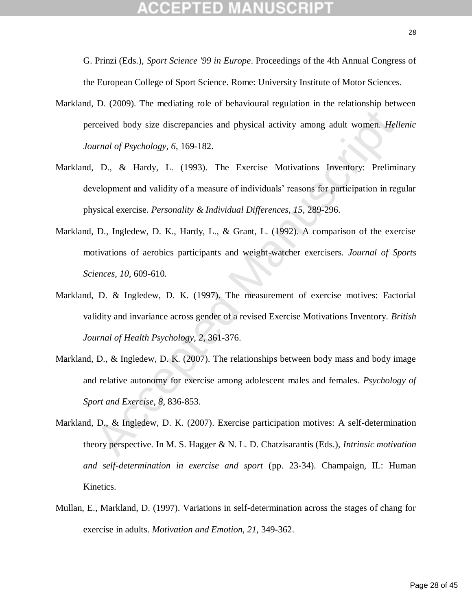G. Prinzi (Eds.), *Sport Science '99 in Europe*. Proceedings of the 4th Annual Congress of the European College of Sport Science. Rome: University Institute of Motor Sciences.

- Markland, D. (2009). The mediating role of behavioural regulation in the relationship between perceived body size discrepancies and physical activity among adult women. *Hellenic Journal of Psychology, 6*, 169-182.
- recived body size discrepancies and physical activity among adult women. *Hell*<br>
urnal of Psychology, 6, 169-182.<br>
D., & Hardy, L. (1993). The Exercise Motivations Inventory: Prelimi<br>
welopment and validity of a measure o Markland, D., & Hardy, L. (1993). The Exercise Motivations Inventory: Preliminary development and validity of a measure of individuals' reasons for participation in regular physical exercise. *Personality & Individual Differences, 15*, 289-296.
- Markland, D., Ingledew, D. K., Hardy, L., & Grant, L. (1992). A comparison of the exercise motivations of aerobics participants and weight-watcher exercisers. *Journal of Sports Sciences, 10*, 609-610.
- Markland, D. & Ingledew, D. K. (1997). The measurement of exercise motives: Factorial validity and invariance across gender of a revised Exercise Motivations Inventory. *British Journal of Health Psychology, 2*, 361-376.
- Markland, D., & Ingledew, D. K. (2007). The relationships between body mass and body image and relative autonomy for exercise among adolescent males and females. *Psychology of Sport and Exercise, 8*, 836-853.
- Markland, D., & Ingledew, D. K. (2007). Exercise participation motives: A self-determination theory perspective. In M. S. Hagger & N. L. D. Chatzisarantis (Eds.), *Intrinsic motivation and self-determination in exercise and sport* (pp. 23-34). Champaign, IL: Human Kinetics.
- Mullan, E., Markland, D. (1997). Variations in self-determination across the stages of chang for exercise in adults. *Motivation and Emotion, 21*, 349-362.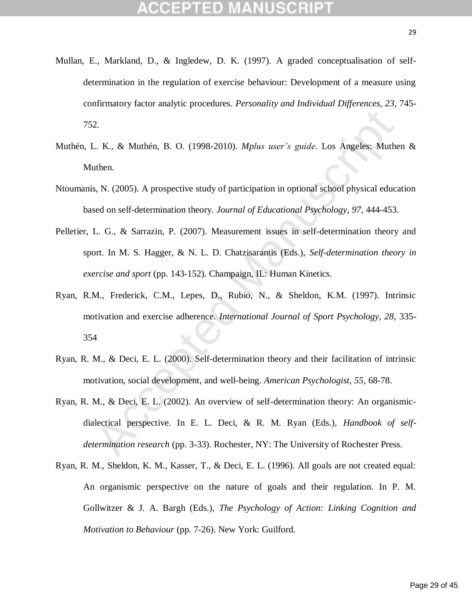- Mullan, E., Markland, D., & Ingledew, D. K. (1997). A graded conceptualisation of selfdetermination in the regulation of exercise behaviour: Development of a measure using confirmatory factor analytic procedures. *Personality and Individual Differences, 23*, 745- 752.
- Muthén, L. K., & Muthén, B. O. (1998-2010). *Mplus user's guide*. Los Angeles: Muthen & Muthen.
- Ntoumanis, N. (2005). A prospective study of participation in optional school physical education based on self-determination theory. *Journal of Educational Psychology*, *97*, 444-453.
- Pelletier, L. G., & Sarrazin, P. (2007). Measurement issues in self-determination theory and sport. In M. S. Hagger, & N. L. D. Chatzisarantis (Eds.), *Self-determination theory in exercise and sport* (pp. 143-152). Champaign, IL: Human Kinetics.
- Ryan, R.M., Frederick, C.M., Lepes, D., Rubio, N., & Sheldon, K.M. (1997). Intrinsic motivation and exercise adherence. *International Journal of Sport Psychology, 28,* 335- 354
- Ryan, R. M., & Deci, E. L. (2000). Self-determination theory and their facilitation of intrinsic motivation, social development, and well-being. *American Psychologist, 55*, 68-78.
- 2.<br>
2. K., & Muthén, B. O. (1998-2010). *Mplus user's guide*. Los Angeles: Muther<br>
1. K., & Muthén, B. O. (1998-2010). *Mplus user's guide*. Los Angeles: Muther<br>
1. G., & Sarrazin, P. (2007). Measurement issues in self-det Ryan, R. M., & Deci, E. L. (2002). An overview of self-determination theory: An organismicdialectical perspective. In E. L. Deci, & R. M. Ryan (Eds.), *Handbook of selfdetermination research* (pp. 3-33). Rochester, NY: The University of Rochester Press.
- Ryan, R. M., Sheldon, K. M., Kasser, T., & Deci, E. L. (1996). All goals are not created equal: An organismic perspective on the nature of goals and their regulation. In P. M. Gollwitzer & J. A. Bargh (Eds.), *The Psychology of Action: Linking Cognition and Motivation to Behaviour* (pp. 7-26). New York: Guilford.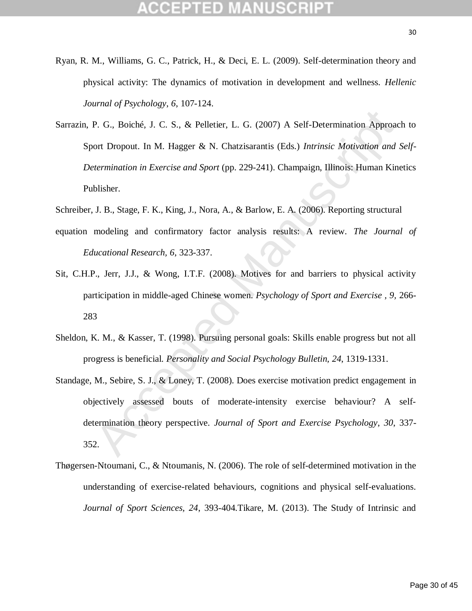- Ryan, R. M., Williams, G. C., Patrick, H., & Deci, E. L. (2009). Self-determination theory and physical activity: The dynamics of motivation in development and wellness. *Hellenic Journal of Psychology*, *6*, 107-124.
- Sarrazin, P. G., Boiché, J. C. S., & Pelletier, L. G. (2007) A Self-Determination Approach to Sport Dropout. In M. Hagger & N. Chatzisarantis (Eds.) *Intrinsic Motivation and Self-Determination in Exercise and Sport* (pp. 229-241). Champaign, Illinois: Human Kinetics Publisher.
- Schreiber, J. B., Stage, F. K., King, J., Nora, A., & Barlow, E. A. (2006). Reporting structural
- equation modeling and confirmatory factor analysis results: A review. *The Journal of Educational Research, 6*, 323-337.
- Sit, C.H.P., Jerr, J.J., & Wong, I.T.F. (2008). Motives for and barriers to physical activity participation in middle-aged Chinese women. *Psychology of Sport and Exercise , 9,* 266- 283
- Sheldon, K. M., & Kasser, T. (1998). Pursuing personal goals: Skills enable progress but not all progress is beneficial. *Personality and Social Psychology Bulletin, 24*, 1319-1331.
- P. G., Boiché, J. C. S., & Pelletier, L. G. (2007) A Self-Determination Approacor<br>
Oro Dropout. In M. Hagger & N. Chatzisarantis (Eds.) Intrinsic Motivation and<br>
termination in Exercise and Sport (pp. 229-241). Champaign, Standage, M., Sebire, S. J., & Loney, T. (2008). Does exercise motivation predict engagement in objectively assessed bouts of moderate-intensity exercise behaviour? A selfdetermination theory perspective. *Journal of Sport and Exercise Psychology*, *30*, 337- 352.
- Thøgersen-Ntoumani, C., & Ntoumanis, N. (2006). The role of self-determined motivation in the understanding of exercise-related behaviours, cognitions and physical self-evaluations. *Journal of Sport Sciences, 24*, 393-404.Tikare, M. (2013). The Study of Intrinsic and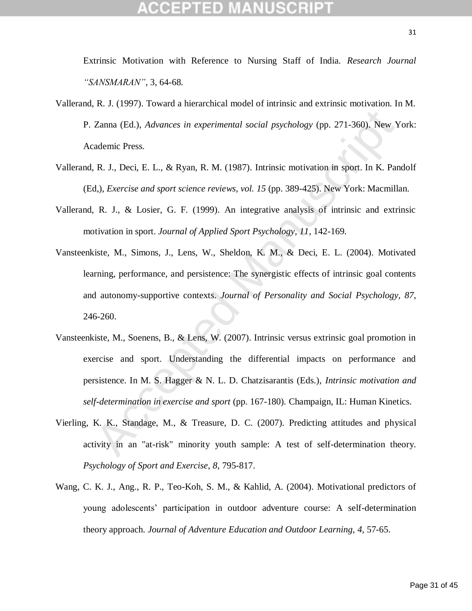Extrinsic Motivation with Reference to Nursing Staff of India. *Research Journal "SANSMARAN"*, 3, 64-68.

- Vallerand, R. J. (1997). Toward a hierarchical model of intrinsic and extrinsic motivation. In M. P. Zanna (Ed.), *Advances in experimental social psychology* (pp. 271-360). New York: Academic Press.
- Vallerand, R. J., Deci, E. L., & Ryan, R. M. (1987). Intrinsic motivation in sport. In K. Pandolf (Ed,), *Exercise and sport science reviews, vol. 15* (pp. 389-425). New York: Macmillan.
- Vallerand, R. J., & Losier, G. F. (1999). An integrative analysis of intrinsic and extrinsic motivation in sport. *Journal of Applied Sport Psychology, 11*, 142-169.
- Zanna (Ed.), *Advances in experimental social psychology* (pp. 271-360). New Y<br>ademic Press.<br>R. J., Deci, E. L., & Ryan, R. M. (1987). Intrinsic motivation in sport. In K. Pan<br>d.), *Exercise and sport science reviews, vol.* Vansteenkiste, M., Simons, J., Lens, W., Sheldon, K. M., & Deci, E. L. (2004). Motivated learning, performance, and persistence: The synergistic effects of intrinsic goal contents and autonomy-supportive contexts. *Journal of Personality and Social Psychology, 87*, 246-260.
- Vansteenkiste, M., Soenens, B., & Lens, W. (2007). Intrinsic versus extrinsic goal promotion in exercise and sport. Understanding the differential impacts on performance and persistence. In M. S. Hagger & N. L. D. Chatzisarantis (Eds.), *Intrinsic motivation and self-determination in exercise and sport* (pp. 167-180)*.* Champaign, IL: Human Kinetics.
- Vierling, K. K., Standage, M., & Treasure, D. C. (2007). Predicting attitudes and physical activity in an "at-risk" minority youth sample: A test of self-determination theory. *Psychology of Sport and Exercise*, *8*, 795-817.
- Wang, C. K. J., Ang., R. P., Teo-Koh, S. M., & Kahlid, A. (2004). Motivational predictors of young adolescents' participation in outdoor adventure course: A self-determination theory approach. *Journal of Adventure Education and Outdoor Learning, 4*, 57-65.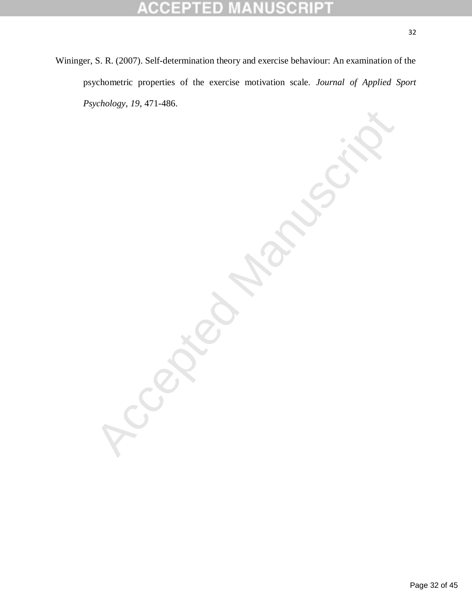## D 0 E B  $\pm$ 0 lO

Accepted Manuscript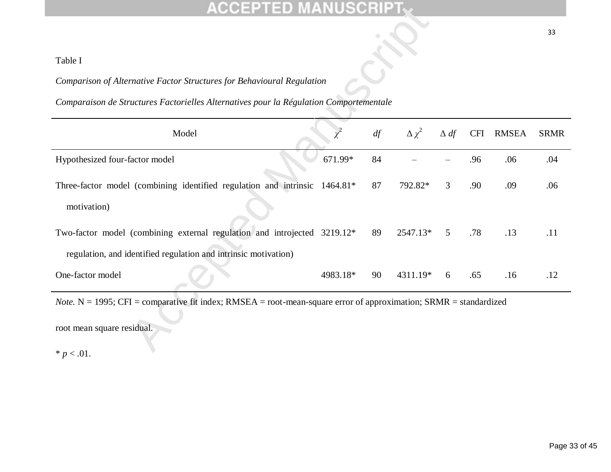# Table I

# *Comparison of Alternative Factor Structures for Behavioural Regulation*

# *Comparaison de Structures Factorielles Alternatives pour la Régulation Comportementale*

| Table I                                                                                                                     |            |    |                 |                |            |              |             |  |  |
|-----------------------------------------------------------------------------------------------------------------------------|------------|----|-----------------|----------------|------------|--------------|-------------|--|--|
| Comparison of Alternative Factor Structures for Behavioural Regulation                                                      |            |    |                 |                |            |              |             |  |  |
| Comparaison de Structures Factorielles Alternatives pour la Régulation Comportementale                                      |            |    |                 |                |            |              |             |  |  |
| Model                                                                                                                       | $\chi^2$   | df | $\Delta \chi^2$ | $\Delta df$    | <b>CFI</b> | <b>RMSEA</b> | <b>SRMR</b> |  |  |
| Hypothesized four-factor model                                                                                              | 671.99*    | 84 |                 |                | .96        | .06          | .04         |  |  |
| Three-factor model (combining identified regulation and intrinsic                                                           | $1464.81*$ | 87 | 792.82*         | $\overline{3}$ | .90        | .09          | .06         |  |  |
| motivation)                                                                                                                 |            |    |                 |                |            |              |             |  |  |
| Two-factor model (combining external regulation and introjected 3219.12*                                                    |            | 89 | 2547.13*        | 5              | .78        | .13          | .11         |  |  |
| regulation, and identified regulation and intrinsic motivation)                                                             |            |    |                 |                |            |              |             |  |  |
| One-factor model                                                                                                            | 4983.18*   | 90 | 4311.19*        | 6              | .65        | .16          | .12         |  |  |
| <i>Note.</i> $N = 1995$ ; CFI = comparative fit index; RMSEA = root-mean-square error of approximation; SRMR = standardized |            |    |                 |                |            |              |             |  |  |
| root mean square residual.                                                                                                  |            |    |                 |                |            |              |             |  |  |
| $\sqrt{2}$ $\sqrt{2}$ $\sqrt{2}$                                                                                            |            |    |                 |                |            |              |             |  |  |

 $* p < .01.$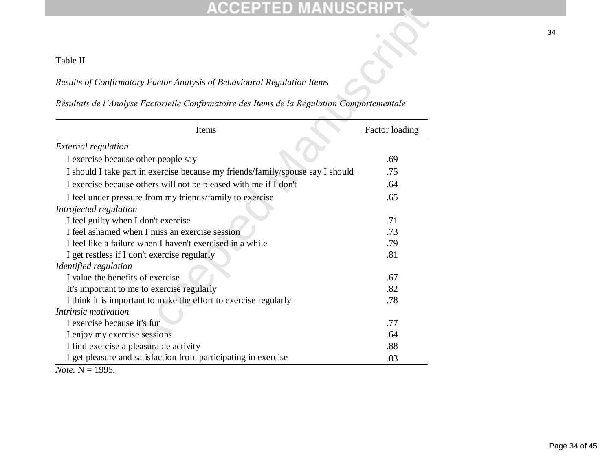# Table II

# *Results of Confirmatory Factor Analysis of Behavioural Regulation Items*

# *Résultats de l'Analyse Factorielle Confirmatoire des Items de la Régulation Comportementale*

| Table II<br>Results of Confirmatory Factor Analysis of Behavioural Regulation Items         |                |
|---------------------------------------------------------------------------------------------|----------------|
| Résultats de l'Analyse Factorielle Confirmatoire des Items de la Régulation Comportementale |                |
| Items                                                                                       | Factor loading |
| External regulation                                                                         |                |
| I exercise because other people say                                                         | .69            |
| I should I take part in exercise because my friends/family/spouse say I should              | .75            |
| I exercise because others will not be pleased with me if I don't                            | .64            |
| I feel under pressure from my friends/family to exercise                                    | .65            |
| Introjected regulation                                                                      |                |
| I feel guilty when I don't exercise                                                         | .71            |
| I feel ashamed when I miss an exercise session                                              | .73            |
| I feel like a failure when I haven't exercised in a while                                   | .79            |
| I get restless if I don't exercise regularly                                                | .81            |
| Identified regulation                                                                       |                |
| I value the benefits of exercise                                                            | .67            |
| It's important to me to exercise regularly                                                  | .82            |
| I think it is important to make the effort to exercise regularly                            | .78            |
| Intrinsic motivation                                                                        |                |
| I exercise because it's fun                                                                 | .77            |
| I enjoy my exercise sessions                                                                | .64            |
| I find exercise a pleasurable activity                                                      | .88            |
| I get pleasure and satisfaction from participating in exercise                              | .83            |

*Note.*  $N = 1995$ .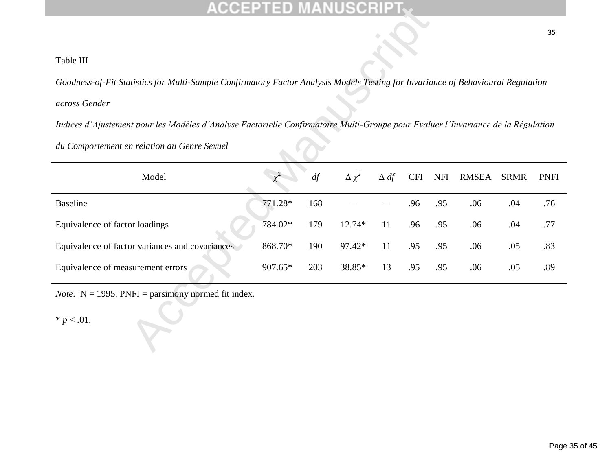# Table III

|                                                                                                                                   |         |     |                 |             |            |            |              |             | 35          |  |
|-----------------------------------------------------------------------------------------------------------------------------------|---------|-----|-----------------|-------------|------------|------------|--------------|-------------|-------------|--|
| Table III                                                                                                                         |         |     |                 |             |            |            |              |             |             |  |
| Goodness-of-Fit Statistics for Multi-Sample Confirmatory Factor Analysis Models Testing for Invariance of Behavioural Regulation  |         |     |                 |             |            |            |              |             |             |  |
| across Gender                                                                                                                     |         |     |                 |             |            |            |              |             |             |  |
| Indices d'Ajustement pour les Modèles d'Analyse Factorielle Confirmatoire Multi-Groupe pour Evaluer l'Invariance de la Régulation |         |     |                 |             |            |            |              |             |             |  |
| du Comportement en relation au Genre Sexuel                                                                                       |         |     |                 |             |            |            |              |             |             |  |
| Model                                                                                                                             |         | df  | $\Delta \chi^2$ | $\Delta df$ | <b>CFI</b> | <b>NFI</b> | <b>RMSEA</b> | <b>SRMR</b> | <b>PNFI</b> |  |
| <b>Baseline</b>                                                                                                                   | 771.28* | 168 |                 |             | .96        | .95        | .06          | .04         | .76         |  |
| Equivalence of factor loadings                                                                                                    | 784.02* | 179 | 12.74*          | 11          | .96        | .95        | .06          | .04         | .77         |  |
| Equivalence of factor variances and covariances                                                                                   | 868.70* | 190 | 97.42*          | 11          | .95        | .95        | .06          | .05         | .83         |  |
| Equivalence of measurement errors                                                                                                 | 907.65* | 203 | 38.85*          | 13          | .95        | .95        | .06          | .05         | .89         |  |
| <i>Note.</i> $N = 1995$ . PNFI = parsimony normed fit index.                                                                      |         |     |                 |             |            |            |              |             |             |  |
| * $p < .01$ .                                                                                                                     |         |     |                 |             |            |            |              |             |             |  |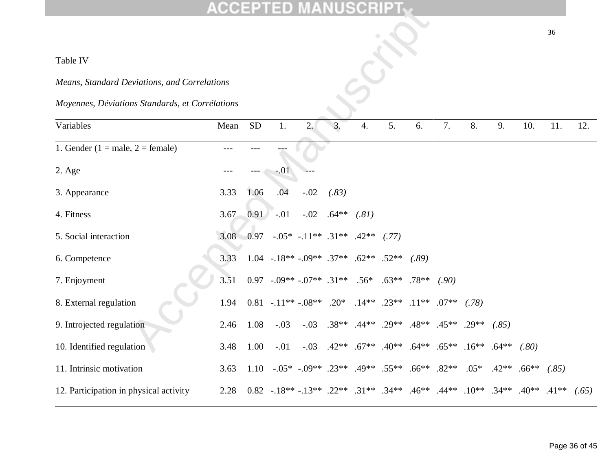# *Means, Standard Deviations, and Correlations*

# *Moyennes, Déviations Standards, et Corrélations*

|                                                 |      |           | ACCEPTED MANU                                                                  |                                                      |          | ISCRI            |    |                                                                               |       |         |         |         |         |       |
|-------------------------------------------------|------|-----------|--------------------------------------------------------------------------------|------------------------------------------------------|----------|------------------|----|-------------------------------------------------------------------------------|-------|---------|---------|---------|---------|-------|
|                                                 |      |           |                                                                                |                                                      |          |                  |    |                                                                               |       |         |         |         | 36      |       |
| Table IV                                        |      |           |                                                                                |                                                      |          |                  |    |                                                                               |       |         |         |         |         |       |
| Means, Standard Deviations, and Correlations    |      |           |                                                                                |                                                      |          |                  |    |                                                                               |       |         |         |         |         |       |
| Moyennes, Déviations Standards, et Corrélations |      |           |                                                                                |                                                      |          |                  |    |                                                                               |       |         |         |         |         |       |
| Variables                                       | Mean | <b>SD</b> | 1.                                                                             | 2.1                                                  | 3.       | $\overline{4}$ . | 5. | 6.                                                                            | 7.    | 8.      | 9.      | 10.     | 11.     | 12.   |
| 1. Gender (1 = male, 2 = female)                |      |           |                                                                                |                                                      |          |                  |    |                                                                               |       |         |         |         |         |       |
| 2. Age                                          |      |           | $-.01$                                                                         |                                                      |          |                  |    |                                                                               |       |         |         |         |         |       |
| 3. Appearance                                   | 3.33 | 1.06      | .04                                                                            | $-.02$                                               | (.83)    |                  |    |                                                                               |       |         |         |         |         |       |
| 4. Fitness                                      | 3.67 | 0.91      | $-.01$                                                                         | $-.02$                                               | $.64***$ | (.81)            |    |                                                                               |       |         |         |         |         |       |
| 5. Social interaction                           | 3.08 | $-0.97$   |                                                                                | $-0.05^*$ $-0.11^{**}$ $.31^{**}$ $.42^{**}$ $(.77)$ |          |                  |    |                                                                               |       |         |         |         |         |       |
| 6. Competence                                   | 3.33 |           | $1.04$ $-.18**$ $-.09**$ $.37**$ $.62**$ $.52**$ $(.89)$                       |                                                      |          |                  |    |                                                                               |       |         |         |         |         |       |
| 7. Enjoyment                                    | 3.51 |           | $0.97$ $-.09**$ $-.07**$ $.31**$ $.56*$ $.63**$ $.78**$                        |                                                      |          |                  |    |                                                                               | (.90) |         |         |         |         |       |
| 8. External regulation                          | 1.94 |           | $0.81 - 11** - 08**$ . 20*                                                     |                                                      |          |                  |    | $.14***$ $.23***$ $.11***$ $.07**$                                            |       | (.78)   |         |         |         |       |
| 9. Introjected regulation                       | 2.46 | 1.08      | $-.03$                                                                         | $-.03$                                               |          |                  |    | $.38**$ $.44**$ $.29**$ $.48**$ $.45**$                                       |       | $.29**$ | (.85)   |         |         |       |
| 10. Identified regulation                       | 3.48 | 1.00      | $-.01$                                                                         | $-.03$                                               |          |                  |    | $.42^{***}$ $.67^{**}$ $.40^{***}$ $.64^{**}$ $.65^{**}$ $.16^{**}$           |       |         | $.64**$ | (.80)   |         |       |
| 11. Intrinsic motivation                        | 3.63 | 1.10      |                                                                                |                                                      |          |                  |    | $-0.05^*$ $-0.09^{**}$ $.23^{**}$ $.49^{**}$ $.55^{**}$ $.66^{**}$ $.82^{**}$ |       | $.05*$  | $.42**$ | $.66**$ | (.85)   |       |
| 12. Participation in physical activity          | 2.28 |           | $0.82$ $-18**$ $-13**$ $.22**$ $.31**$ $.34**$ $.46**$ $.44**$ $.10**$ $.34**$ |                                                      |          |                  |    |                                                                               |       |         |         | $.40**$ | $.41**$ | (.65) |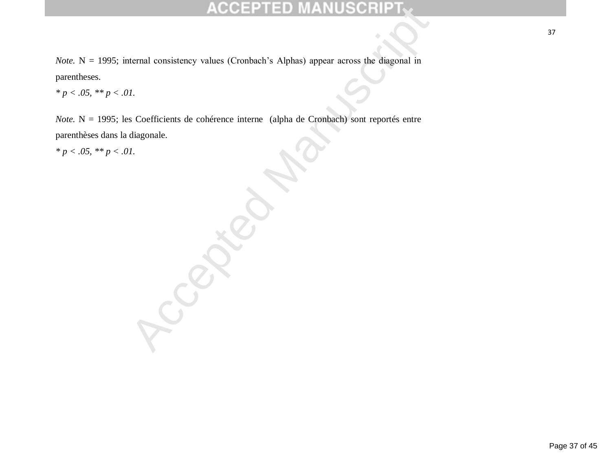*Note.* N = 1995; internal consistency values (Cronbach's Alphas) appear across the diagonal in parentheses.

*\* p < .05, \*\* p < .01.* 

*Note.* N = 1995; les Coefficients de cohérence interne (alpha de Cronbach) sont reportés entre parenthèses dans la diagonale.

*\* p < .05, \*\* p < .01.* 

ACCEPTED MANUSCRIPT<br>
MANUSCRIPT<br>
IL.<br>
1.<br>
S. Coefficiens de cohérence interne (alpha de Cronbach) sont reportés entre<br>
diagonale.<br>
1.<br>
Accepted Manuscript (alpha de Cronbach) sont reportés entre<br>
1.<br>
Accepted Manuscript (a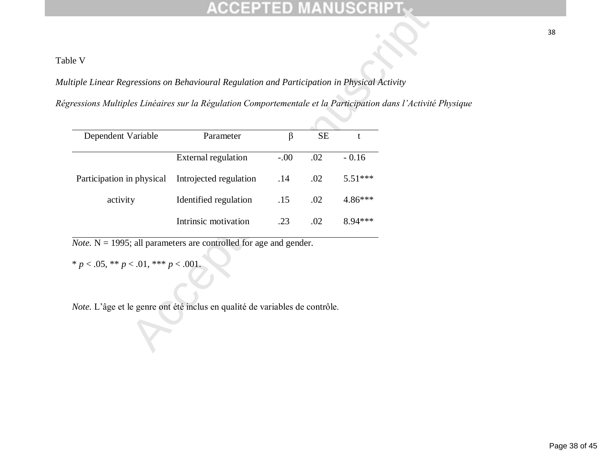# Table V

*Régressions Multiples Linéaires sur la Régulation Comportementale et la Participation dans l'Activité Physique*

|                            |                                                            |         | $\mathbf t$                                                                              |                                                                                                                                                                                                                                                                                 |
|----------------------------|------------------------------------------------------------|---------|------------------------------------------------------------------------------------------|---------------------------------------------------------------------------------------------------------------------------------------------------------------------------------------------------------------------------------------------------------------------------------|
| <b>External regulation</b> | $-.00$                                                     | .02     | $-0.16$                                                                                  |                                                                                                                                                                                                                                                                                 |
| Introjected regulation     | .14                                                        | .02     | 5.51***                                                                                  |                                                                                                                                                                                                                                                                                 |
| Identified regulation      | .15                                                        | .02     | 4.86***                                                                                  |                                                                                                                                                                                                                                                                                 |
| Intrinsic motivation       | .23                                                        | .02     | 8.94 ***                                                                                 |                                                                                                                                                                                                                                                                                 |
|                            |                                                            |         |                                                                                          |                                                                                                                                                                                                                                                                                 |
|                            |                                                            |         |                                                                                          |                                                                                                                                                                                                                                                                                 |
|                            |                                                            |         |                                                                                          |                                                                                                                                                                                                                                                                                 |
|                            |                                                            |         |                                                                                          |                                                                                                                                                                                                                                                                                 |
|                            |                                                            |         |                                                                                          |                                                                                                                                                                                                                                                                                 |
|                            | Parameter<br>* $p < .05$ , ** $p < .01$ , *** $p < .001$ . | $\beta$ | <b>SE</b><br><i>Note.</i> $N = 1995$ ; all parameters are controlled for age and gender. | ltiple Linear Regressions on Behavioural Regulation and Participation in Physical Activity<br>ressions Multiples Linéaires sur la Régulation Comportementale et la Participation dans l'Activité<br>Note. L'âge et le genre ont été inclus en qualité de variables de contrôle. |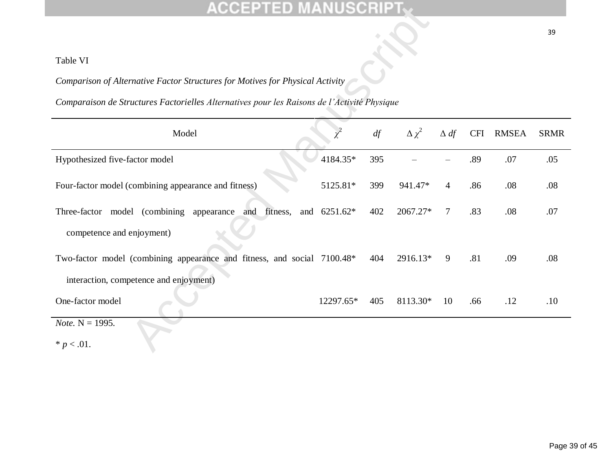| Table VI                                                                                    |              |     |                 |             |            |              |             |  |  |  |  |
|---------------------------------------------------------------------------------------------|--------------|-----|-----------------|-------------|------------|--------------|-------------|--|--|--|--|
| Comparison of Alternative Factor Structures for Motives for Physical Activity               |              |     |                 |             |            |              |             |  |  |  |  |
| Comparaison de Structures Factorielles Alternatives pour les Raisons de l'Activité Physique |              |     |                 |             |            |              |             |  |  |  |  |
| Model                                                                                       |              | df  | $\Delta \chi^2$ | $\Delta df$ | <b>CFI</b> | <b>RMSEA</b> | <b>SRMR</b> |  |  |  |  |
| Hypothesized five-factor model                                                              | 4184.35*     | 395 |                 |             | .89        | .07          | .05         |  |  |  |  |
| Four-factor model (combining appearance and fitness)                                        | 5125.81*     | 399 | 941.47*         | 4           | .86        | .08          | .08         |  |  |  |  |
| Three-factor model (combining appearance and fitness,                                       | and 6251.62* | 402 | 2067.27*        | 7           | .83        | .08          | .07         |  |  |  |  |
| competence and enjoyment)                                                                   |              |     |                 |             |            |              |             |  |  |  |  |
| Two-factor model (combining appearance and fitness, and social 7100.48*                     |              | 404 | 2916.13*        | 9           | .81        | .09          | .08         |  |  |  |  |
| interaction, competence and enjoyment)                                                      |              |     |                 |             |            |              |             |  |  |  |  |
| One-factor model                                                                            | 12297.65*    | 405 | 8113.30*        | 10          | .66        | .12          | .10         |  |  |  |  |
| <i>Note</i> . $N = 1995$ .                                                                  |              |     |                 |             |            |              |             |  |  |  |  |
| * $p < .01$ .                                                                               |              |     |                 |             |            |              |             |  |  |  |  |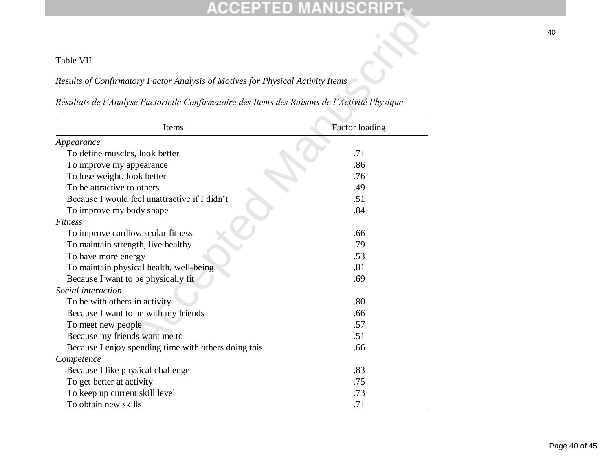# Table VII

| Table VII                                                                                     |                       |
|-----------------------------------------------------------------------------------------------|-----------------------|
| Results of Confirmatory Factor Analysis of Motives for Physical Activity Items                |                       |
| Résultats de l'Analyse Factorielle Confirmatoire des Items des Raisons de l'Activité Physique |                       |
| Items                                                                                         | <b>Factor loading</b> |
| Appearance                                                                                    |                       |
| To define muscles, look better                                                                | .71                   |
| To improve my appearance                                                                      | .86                   |
| To lose weight, look better                                                                   | .76                   |
| To be attractive to others                                                                    | .49                   |
| Because I would feel unattractive if I didn't                                                 | .51                   |
| To improve my body shape                                                                      | .84                   |
| Fitness                                                                                       |                       |
| To improve cardiovascular fitness                                                             | .66                   |
| To maintain strength, live healthy                                                            | .79                   |
| To have more energy                                                                           | .53                   |
| To maintain physical health, well-being                                                       | .81                   |
| Because I want to be physically fit                                                           | .69                   |
| Social interaction                                                                            |                       |
| To be with others in activity                                                                 | .80                   |
| Because I want to be with my friends                                                          | .66                   |
| To meet new people                                                                            | .57                   |
| Because my friends want me to                                                                 | .51                   |
| Because I enjoy spending time with others doing this                                          | .66                   |
| Competence                                                                                    |                       |
| Because I like physical challenge                                                             | .83                   |
| To get better at activity                                                                     | .75                   |
| To keep up current skill level                                                                | .73                   |
| To obtain new skills                                                                          | .71                   |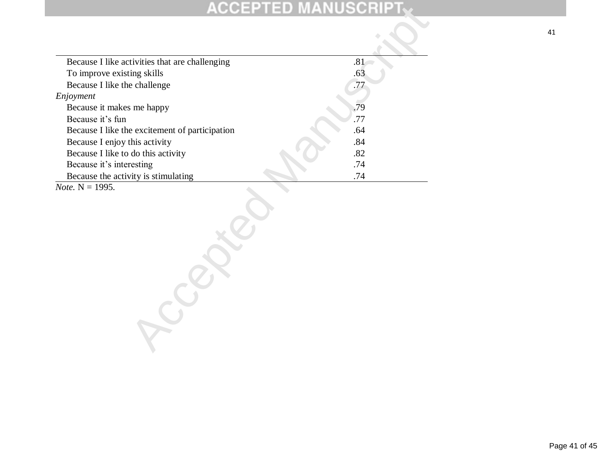|                                                | <u>ACCEPTED MANUSC</u> |
|------------------------------------------------|------------------------|
|                                                |                        |
| Because I like activities that are challenging | .81                    |
| To improve existing skills                     | .63                    |
| Because I like the challenge                   | .77                    |
| Enjoyment                                      |                        |
| Because it makes me happy                      | .79                    |
| Because it's fun                               | .77                    |
| Because I like the excitement of participation | .64                    |
| Because I enjoy this activity                  | .84                    |
| Because I like to do this activity             | .82                    |
| Because it's interesting                       | .74                    |
| Because the activity is stimulating            | .74                    |
| <i>Note</i> . $N = 1995$ .                     |                        |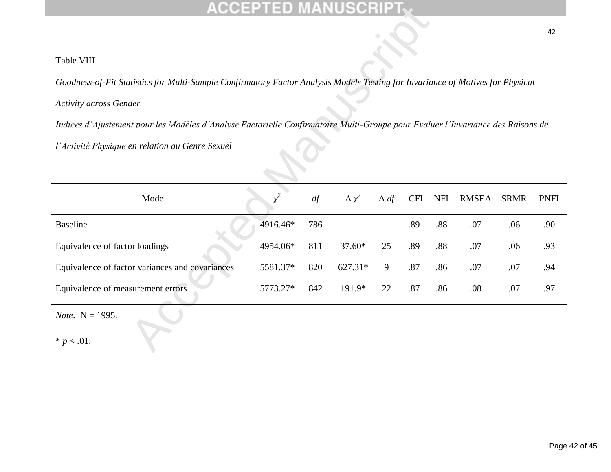# Table VIII

| ACCEPT                                                                                                                          |          |     |                 |             |            |            |              |             |             |  |  |
|---------------------------------------------------------------------------------------------------------------------------------|----------|-----|-----------------|-------------|------------|------------|--------------|-------------|-------------|--|--|
|                                                                                                                                 |          |     |                 |             |            |            |              |             | 42          |  |  |
| Table VIII                                                                                                                      |          |     |                 |             |            |            |              |             |             |  |  |
| Goodness-of-Fit Statistics for Multi-Sample Confirmatory Factor Analysis Models Testing for Invariance of Motives for Physical  |          |     |                 |             |            |            |              |             |             |  |  |
| <b>Activity across Gender</b>                                                                                                   |          |     |                 |             |            |            |              |             |             |  |  |
| Indices d'Ajustement pour les Modèles d'Analyse Factorielle Confirmatoire Multi-Groupe pour Evaluer l'Invariance des Raisons de |          |     |                 |             |            |            |              |             |             |  |  |
| l'Activité Physique en relation au Genre Sexuel                                                                                 |          |     |                 |             |            |            |              |             |             |  |  |
| Model                                                                                                                           | $\chi^2$ | df  | $\Delta \chi^2$ | $\Delta df$ | <b>CFI</b> | <b>NFI</b> | <b>RMSEA</b> | <b>SRMR</b> | <b>PNFI</b> |  |  |
| <b>Baseline</b>                                                                                                                 | 4916.46* | 786 |                 |             | .89        | .88        | .07          | .06         | .90         |  |  |
| Equivalence of factor loadings                                                                                                  | 4954.06* | 811 | $37.60*$        | 25          | .89        | .88        | .07          | .06         | .93         |  |  |
| Equivalence of factor variances and covariances                                                                                 | 5581.37* | 820 | 627.31*         | 9           | .87        | .86        | .07          | .07         | .94         |  |  |
| Equivalence of measurement errors                                                                                               | 5773.27* | 842 | 191.9*          | 22          | .87        | .86        | .08          | .07         | .97         |  |  |
| <i>Note.</i> $N = 1995$ .                                                                                                       |          |     |                 |             |            |            |              |             |             |  |  |
| * $p < .01$ .                                                                                                                   |          |     |                 |             |            |            |              |             |             |  |  |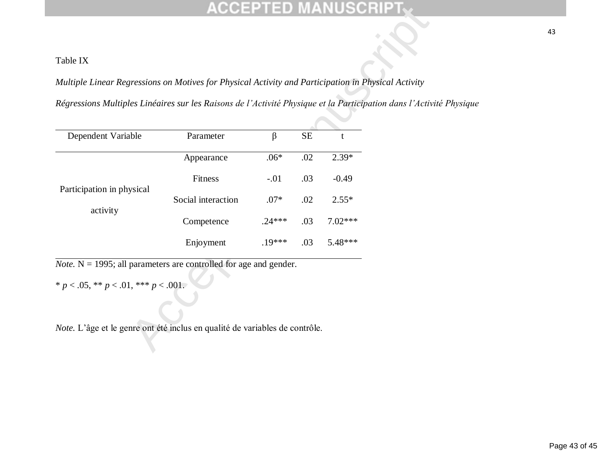# Table IX

*Régressions Multiples Linéaires sur les Raisons de l'Activité Physique et la Participation dans l'Activité Physique*

| Table IX                                                                                                 |                    |          |           |           |  |
|----------------------------------------------------------------------------------------------------------|--------------------|----------|-----------|-----------|--|
| Multiple Linear Regressions on Motives for Physical Activity and Participation in Physical Activity      |                    |          |           |           |  |
| Régressions Multiples Linéaires sur les Raisons de l'Activité Physique et la Participation dans l'Activi |                    |          |           |           |  |
| Dependent Variable                                                                                       | Parameter          | $\beta$  | <b>SE</b> | t         |  |
|                                                                                                          | Appearance         | $.06*$   | .02       | $2.39*$   |  |
|                                                                                                          | Fitness            | $-.01$   | .03       | $-0.49$   |  |
| Participation in physical<br>activity                                                                    | Social interaction | $.07*$   | .02       | $2.55*$   |  |
|                                                                                                          | Competence         | $.24***$ | .03       | $7.02***$ |  |
|                                                                                                          | Enjoyment          | $.19***$ | .03       | 5.48***   |  |
| <i>Note.</i> $N = 1995$ ; all parameters are controlled for age and gender.                              |                    |          |           |           |  |
| * $p < .05$ , ** $p < .01$ , *** $p < .001$ .                                                            |                    |          |           |           |  |
| Note. L'âge et le genre ont été inclus en qualité de variables de contrôle.                              |                    |          |           |           |  |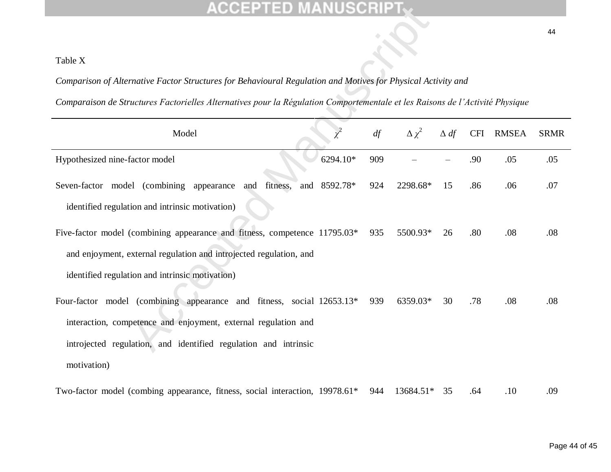| <b>ACCEPTED MANUSCRIPT</b>                                                                                                                                                                                                |     |                 |             |            |              |             |
|---------------------------------------------------------------------------------------------------------------------------------------------------------------------------------------------------------------------------|-----|-----------------|-------------|------------|--------------|-------------|
|                                                                                                                                                                                                                           |     |                 |             |            |              | 44          |
| Table X                                                                                                                                                                                                                   |     |                 |             |            |              |             |
| Comparison of Alternative Factor Structures for Behavioural Regulation and Motives for Physical Activity and                                                                                                              |     |                 |             |            |              |             |
| Comparaison de Structures Factorielles Alternatives pour la Régulation Comportementale et les Raisons de l'Activité Physique                                                                                              |     |                 |             |            |              |             |
| $\chi^2$<br>Model                                                                                                                                                                                                         | df  | $\Delta \chi^2$ | $\Delta df$ | <b>CFI</b> | <b>RMSEA</b> | <b>SRMR</b> |
| 6294.10*<br>Hypothesized nine-factor model                                                                                                                                                                                | 909 |                 |             | .90        | .05          | .05         |
| Seven-factor model (combining appearance<br>8592.78*<br>fitness,<br>and<br>and<br>identified regulation and intrinsic motivation)                                                                                         | 924 | 2298.68*        | 15          | .86        | .06          | .07         |
| Five-factor model (combining appearance and fitness, competence 11795.03*<br>and enjoyment, external regulation and introjected regulation, and<br>identified regulation and intrinsic motivation)                        | 935 | 5500.93*        | 26          | .80        | .08          | .08         |
| Four-factor model (combining appearance and fitness, social 12653.13*<br>interaction, competence and enjoyment, external regulation and<br>introjected regulation, and identified regulation and intrinsic<br>motivation) | 939 | 6359.03*        | 30          | .78        | .08          | .08         |
| Two-factor model (combing appearance, fitness, social interaction, 19978.61*                                                                                                                                              | 944 | 13684.51*       | 35          | .64        | .10          | .09         |